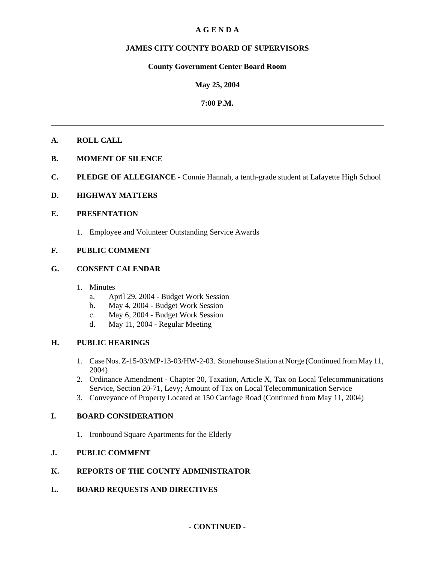# **A G E N D A**

# **JAMES CITY COUNTY BOARD OF SUPERVISORS**

## **County Government Center Board Room**

# **May 25, 2004**

# **7:00 P.M.**

# **A. ROLL CALL**

- **B. MOMENT OF SILENCE**
- **C. PLEDGE OF ALLEGIANCE** Connie Hannah, a tenth-grade student at Lafayette High School

## **D. HIGHWAY MATTERS**

## **E. PRESENTATION**

1. Employee and Volunteer Outstanding Service Awards

# **F. PUBLIC COMMENT**

## **G. CONSENT CALENDAR**

- 1. Minutes
	- a. April 29, 2004 Budget Work Session
	- b. May 4, 2004 Budget Work Session
	- c. May 6, 2004 Budget Work Session
	- d. May 11, 2004 Regular Meeting

## **H. PUBLIC HEARINGS**

- 1. Case Nos. Z-15-03/MP-13-03/HW-2-03. Stonehouse Station at Norge (Continued from May 11, 2004)
- 2. Ordinance Amendment Chapter 20, Taxation, Article X, Tax on Local Telecommunications Service, Section 20-71, Levy; Amount of Tax on Local Telecommunication Service
- 3. Conveyance of Property Located at 150 Carriage Road (Continued from May 11, 2004)

## **I. BOARD CONSIDERATION**

1. Ironbound Square Apartments for the Elderly

# **J. PUBLIC COMMENT**

## **K. REPORTS OF THE COUNTY ADMINISTRATOR**

**L. BOARD REQUESTS AND DIRECTIVES**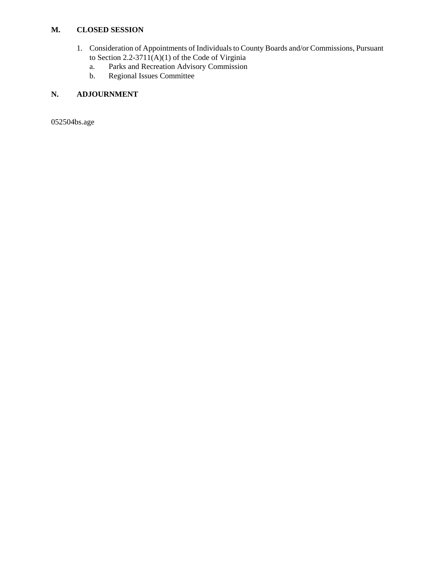# **M. CLOSED SESSION**

- 1. Consideration of Appointments of Individuals to County Boards and/or Commissions, Pursuant to Section 2.2-3711(A)(1) of the Code of Virginia
	- a. Parks and Recreation Advisory Commission
	- b. Regional Issues Committee

# **N. ADJOURNMENT**

052504bs.age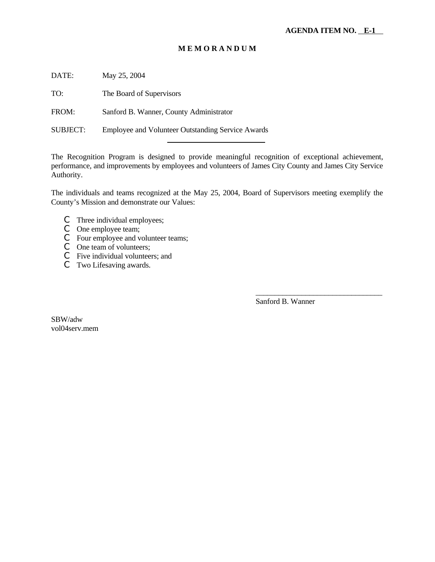# **M E M O R A N D U M**

DATE: May 25, 2004

TO: The Board of Supervisors

FROM: Sanford B. Wanner, County Administrator

SUBJECT: Employee and Volunteer Outstanding Service Awards

l

The Recognition Program is designed to provide meaningful recognition of exceptional achievement, performance, and improvements by employees and volunteers of James City County and James City Service Authority.

The individuals and teams recognized at the May 25, 2004, Board of Supervisors meeting exemplify the County's Mission and demonstrate our Values:

- C Three individual employees;
- C One employee team;
- C Four employee and volunteer teams;
- C One team of volunteers;
- C Five individual volunteers; and
- C Two Lifesaving awards.

Sanford B. Wanner

\_\_\_\_\_\_\_\_\_\_\_\_\_\_\_\_\_\_\_\_\_\_\_\_\_\_\_\_\_\_\_\_\_

SBW/adw vol04serv.mem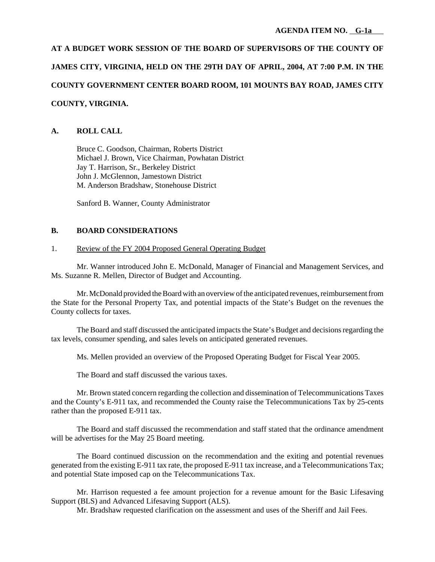**AT A BUDGET WORK SESSION OF THE BOARD OF SUPERVISORS OF THE COUNTY OF JAMES CITY, VIRGINIA, HELD ON THE 29TH DAY OF APRIL, 2004, AT 7:00 P.M. IN THE COUNTY GOVERNMENT CENTER BOARD ROOM, 101 MOUNTS BAY ROAD, JAMES CITY COUNTY, VIRGINIA.**

# **A. ROLL CALL**

Bruce C. Goodson, Chairman, Roberts District Michael J. Brown, Vice Chairman, Powhatan District Jay T. Harrison, Sr., Berkeley District John J. McGlennon, Jamestown District M. Anderson Bradshaw, Stonehouse District

Sanford B. Wanner, County Administrator

# **B. BOARD CONSIDERATIONS**

## 1. Review of the FY 2004 Proposed General Operating Budget

Mr. Wanner introduced John E. McDonald, Manager of Financial and Management Services, and Ms. Suzanne R. Mellen, Director of Budget and Accounting.

Mr. McDonald provided the Board with an overview of the anticipated revenues, reimbursement from the State for the Personal Property Tax, and potential impacts of the State's Budget on the revenues the County collects for taxes.

The Board and staff discussed the anticipated impacts the State's Budget and decisions regarding the tax levels, consumer spending, and sales levels on anticipated generated revenues.

Ms. Mellen provided an overview of the Proposed Operating Budget for Fiscal Year 2005.

The Board and staff discussed the various taxes.

Mr. Brown stated concern regarding the collection and dissemination of Telecommunications Taxes and the County's E-911 tax, and recommended the County raise the Telecommunications Tax by 25-cents rather than the proposed E-911 tax.

The Board and staff discussed the recommendation and staff stated that the ordinance amendment will be advertises for the May 25 Board meeting.

The Board continued discussion on the recommendation and the exiting and potential revenues generated from the existing E-911 tax rate, the proposed E-911 tax increase, and a Telecommunications Tax; and potential State imposed cap on the Telecommunications Tax.

Mr. Harrison requested a fee amount projection for a revenue amount for the Basic Lifesaving Support (BLS) and Advanced Lifesaving Support (ALS).

Mr. Bradshaw requested clarification on the assessment and uses of the Sheriff and Jail Fees.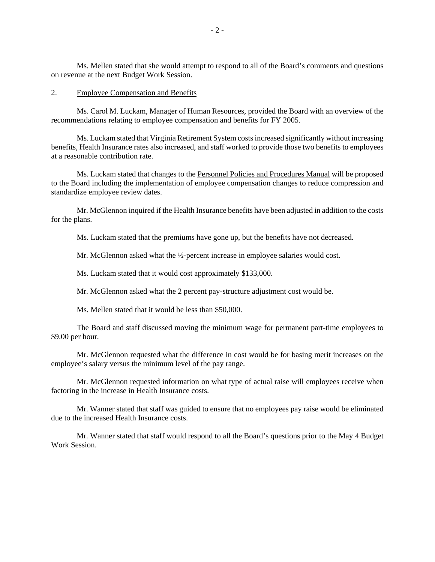Ms. Mellen stated that she would attempt to respond to all of the Board's comments and questions on revenue at the next Budget Work Session.

#### 2. Employee Compensation and Benefits

Ms. Carol M. Luckam, Manager of Human Resources, provided the Board with an overview of the recommendations relating to employee compensation and benefits for FY 2005.

Ms. Luckam stated that Virginia Retirement System costs increased significantly without increasing benefits, Health Insurance rates also increased, and staff worked to provide those two benefits to employees at a reasonable contribution rate.

Ms. Luckam stated that changes to the Personnel Policies and Procedures Manual will be proposed to the Board including the implementation of employee compensation changes to reduce compression and standardize employee review dates.

Mr. McGlennon inquired if the Health Insurance benefits have been adjusted in addition to the costs for the plans.

Ms. Luckam stated that the premiums have gone up, but the benefits have not decreased.

Mr. McGlennon asked what the ½-percent increase in employee salaries would cost.

Ms. Luckam stated that it would cost approximately \$133,000.

Mr. McGlennon asked what the 2 percent pay-structure adjustment cost would be.

Ms. Mellen stated that it would be less than \$50,000.

The Board and staff discussed moving the minimum wage for permanent part-time employees to \$9.00 per hour.

Mr. McGlennon requested what the difference in cost would be for basing merit increases on the employee's salary versus the minimum level of the pay range.

Mr. McGlennon requested information on what type of actual raise will employees receive when factoring in the increase in Health Insurance costs.

Mr. Wanner stated that staff was guided to ensure that no employees pay raise would be eliminated due to the increased Health Insurance costs.

Mr. Wanner stated that staff would respond to all the Board's questions prior to the May 4 Budget Work Session.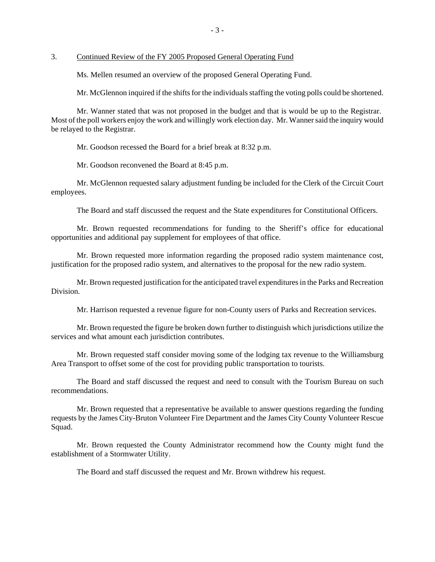3. Continued Review of the FY 2005 Proposed General Operating Fund

Ms. Mellen resumed an overview of the proposed General Operating Fund.

Mr. McGlennon inquired if the shifts for the individuals staffing the voting polls could be shortened.

Mr. Wanner stated that was not proposed in the budget and that is would be up to the Registrar. Most of the poll workers enjoy the work and willingly work election day. Mr. Wanner said the inquiry would be relayed to the Registrar.

Mr. Goodson recessed the Board for a brief break at 8:32 p.m.

Mr. Goodson reconvened the Board at 8:45 p.m.

Mr. McGlennon requested salary adjustment funding be included for the Clerk of the Circuit Court employees.

The Board and staff discussed the request and the State expenditures for Constitutional Officers.

Mr. Brown requested recommendations for funding to the Sheriff's office for educational opportunities and additional pay supplement for employees of that office.

Mr. Brown requested more information regarding the proposed radio system maintenance cost, justification for the proposed radio system, and alternatives to the proposal for the new radio system.

Mr. Brown requested justification for the anticipated travel expenditures in the Parks and Recreation Division.

Mr. Harrison requested a revenue figure for non-County users of Parks and Recreation services.

Mr. Brown requested the figure be broken down further to distinguish which jurisdictions utilize the services and what amount each jurisdiction contributes.

Mr. Brown requested staff consider moving some of the lodging tax revenue to the Williamsburg Area Transport to offset some of the cost for providing public transportation to tourists.

The Board and staff discussed the request and need to consult with the Tourism Bureau on such recommendations.

Mr. Brown requested that a representative be available to answer questions regarding the funding requests by the James City-Bruton Volunteer Fire Department and the James City County Volunteer Rescue Squad.

Mr. Brown requested the County Administrator recommend how the County might fund the establishment of a Stormwater Utility.

The Board and staff discussed the request and Mr. Brown withdrew his request.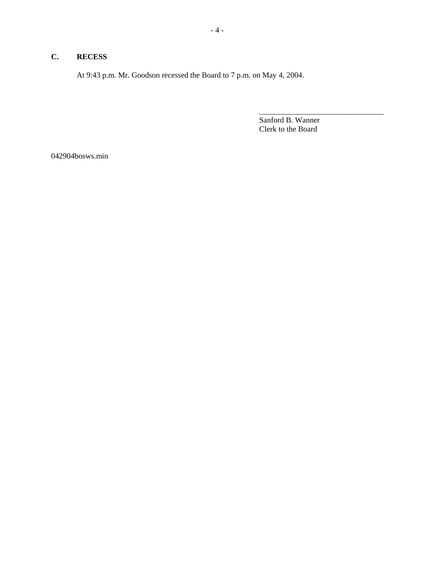# **C. RECESS**

At 9:43 p.m. Mr. Goodson recessed the Board to 7 p.m. on May 4, 2004.

Sanford B. Wanner Clerk to the Board

\_\_\_\_\_\_\_\_\_\_\_\_\_\_\_\_\_\_\_\_\_\_\_\_\_\_\_\_\_\_\_\_

042904bosws.min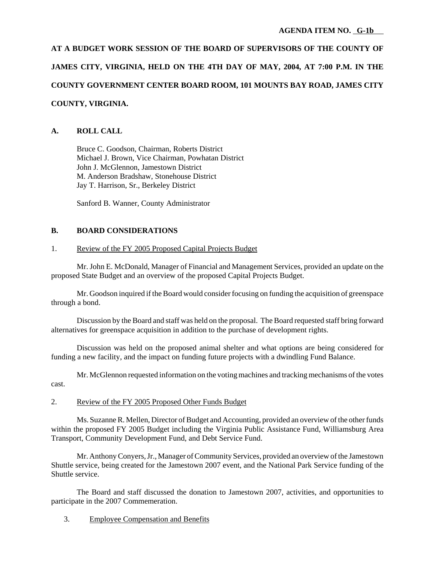**AT A BUDGET WORK SESSION OF THE BOARD OF SUPERVISORS OF THE COUNTY OF JAMES CITY, VIRGINIA, HELD ON THE 4TH DAY OF MAY, 2004, AT 7:00 P.M. IN THE COUNTY GOVERNMENT CENTER BOARD ROOM, 101 MOUNTS BAY ROAD, JAMES CITY COUNTY, VIRGINIA.**

# **A. ROLL CALL**

Bruce C. Goodson, Chairman, Roberts District Michael J. Brown, Vice Chairman, Powhatan District John J. McGlennon, Jamestown District M. Anderson Bradshaw, Stonehouse District Jay T. Harrison, Sr., Berkeley District

Sanford B. Wanner, County Administrator

# **B. BOARD CONSIDERATIONS**

# 1. Review of the FY 2005 Proposed Capital Projects Budget

Mr. John E. McDonald, Manager of Financial and Management Services, provided an update on the proposed State Budget and an overview of the proposed Capital Projects Budget.

Mr. Goodson inquired if the Board would consider focusing on funding the acquisition of greenspace through a bond.

Discussion by the Board and staff was held on the proposal. The Board requested staff bring forward alternatives for greenspace acquisition in addition to the purchase of development rights.

Discussion was held on the proposed animal shelter and what options are being considered for funding a new facility, and the impact on funding future projects with a dwindling Fund Balance.

Mr. McGlennon requested information on the voting machines and tracking mechanisms of the votes cast.

# 2. Review of the FY 2005 Proposed Other Funds Budget

Ms. Suzanne R. Mellen, Director of Budget and Accounting, provided an overview of the other funds within the proposed FY 2005 Budget including the Virginia Public Assistance Fund, Williamsburg Area Transport, Community Development Fund, and Debt Service Fund.

Mr. Anthony Conyers, Jr., Manager of Community Services, provided an overview of the Jamestown Shuttle service, being created for the Jamestown 2007 event, and the National Park Service funding of the Shuttle service.

The Board and staff discussed the donation to Jamestown 2007, activities, and opportunities to participate in the 2007 Commemeration.

3. Employee Compensation and Benefits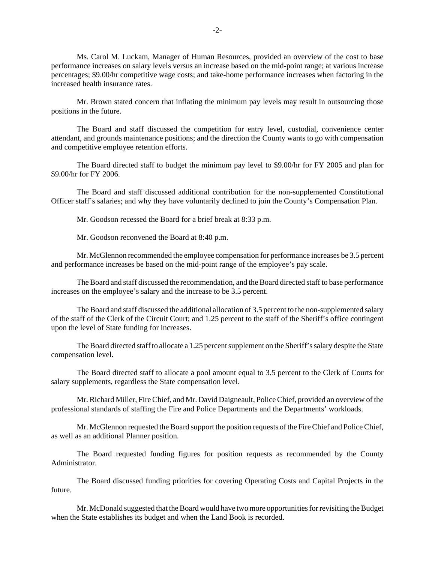Ms. Carol M. Luckam, Manager of Human Resources, provided an overview of the cost to base performance increases on salary levels versus an increase based on the mid-point range; at various increase percentages; \$9.00/hr competitive wage costs; and take-home performance increases when factoring in the increased health insurance rates.

Mr. Brown stated concern that inflating the minimum pay levels may result in outsourcing those positions in the future.

The Board and staff discussed the competition for entry level, custodial, convenience center attendant, and grounds maintenance positions; and the direction the County wants to go with compensation and competitive employee retention efforts.

The Board directed staff to budget the minimum pay level to \$9.00/hr for FY 2005 and plan for \$9.00/hr for FY 2006.

The Board and staff discussed additional contribution for the non-supplemented Constitutional Officer staff's salaries; and why they have voluntarily declined to join the County's Compensation Plan.

Mr. Goodson recessed the Board for a brief break at 8:33 p.m.

Mr. Goodson reconvened the Board at 8:40 p.m.

Mr. McGlennon recommended the employee compensation for performance increases be 3.5 percent and performance increases be based on the mid-point range of the employee's pay scale.

The Board and staff discussed the recommendation, and the Board directed staff to base performance increases on the employee's salary and the increase to be 3.5 percent.

The Board and staff discussed the additional allocation of 3.5 percent to the non-supplemented salary of the staff of the Clerk of the Circuit Court; and 1.25 percent to the staff of the Sheriff's office contingent upon the level of State funding for increases.

The Board directed staff to allocate a 1.25 percent supplement on the Sheriff's salary despite the State compensation level.

The Board directed staff to allocate a pool amount equal to 3.5 percent to the Clerk of Courts for salary supplements, regardless the State compensation level.

Mr. Richard Miller, Fire Chief, and Mr. David Daigneault, Police Chief, provided an overview of the professional standards of staffing the Fire and Police Departments and the Departments' workloads.

Mr. McGlennon requested the Board support the position requests of the Fire Chief and Police Chief, as well as an additional Planner position.

The Board requested funding figures for position requests as recommended by the County Administrator.

The Board discussed funding priorities for covering Operating Costs and Capital Projects in the future.

Mr. McDonald suggested that the Board would have two more opportunities for revisiting the Budget when the State establishes its budget and when the Land Book is recorded.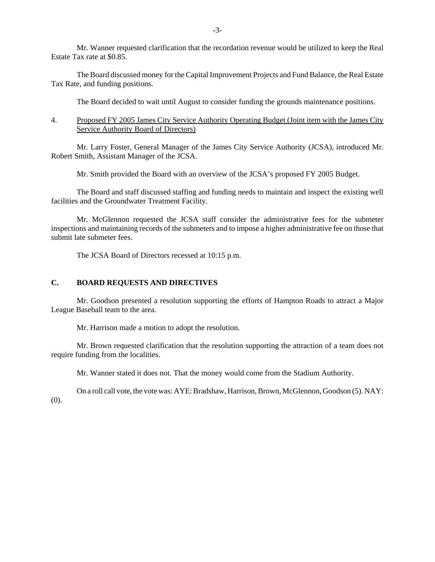Mr. Wanner requested clarification that the recordation revenue would be utilized to keep the Real Estate Tax rate at \$0.85.

The Board discussed money for the Capital Improvement Projects and Fund Balance, the Real Estate Tax Rate, and funding positions.

The Board decided to wait until August to consider funding the grounds maintenance positions.

#### 4. Proposed FY 2005 James City Service Authority Operating Budget (Joint item with the James City Service Authority Board of Directors)

Mr. Larry Foster, General Manager of the James City Service Authority (JCSA), introduced Mr. Robert Smith, Assistant Manager of the JCSA.

Mr. Smith provided the Board with an overview of the JCSA's proposed FY 2005 Budget.

The Board and staff discussed staffing and funding needs to maintain and inspect the existing well facilities and the Groundwater Treatment Facility.

Mr. McGlennon requested the JCSA staff consider the administrative fees for the submeter inspections and maintaining records of the submeters and to impose a higher administrative fee on those that submit late submeter fees.

The JCSA Board of Directors recessed at 10:15 p.m.

## **C. BOARD REQUESTS AND DIRECTIVES**

Mr. Goodson presented a resolution supporting the efforts of Hampton Roads to attract a Major League Baseball team to the area.

Mr. Harrison made a motion to adopt the resolution.

Mr. Brown requested clarification that the resolution supporting the attraction of a team does not require funding from the localities.

Mr. Wanner stated it does not. That the money would come from the Stadium Authority.

On a roll call vote, the vote was: AYE: Bradshaw, Harrison, Brown, McGlennon, Goodson (5). NAY: (0).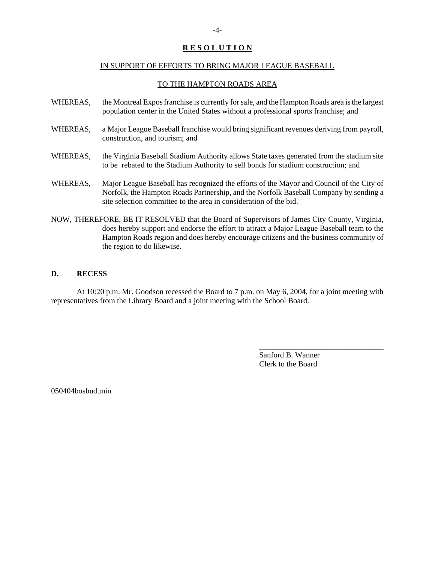## **R E S O L U T I O N**

## IN SUPPORT OF EFFORTS TO BRING MAJOR LEAGUE BASEBALL

#### TO THE HAMPTON ROADS AREA

- WHEREAS, the Montreal Expos franchise is currently for sale, and the Hampton Roads area is the largest population center in the United States without a professional sports franchise; and
- WHEREAS, a Major League Baseball franchise would bring significant revenues deriving from payroll, construction, and tourism; and
- WHEREAS, the Virginia Baseball Stadium Authority allows State taxes generated from the stadium site to be rebated to the Stadium Authority to sell bonds for stadium construction; and
- WHEREAS, Major League Baseball has recognized the efforts of the Mayor and Council of the City of Norfolk, the Hampton Roads Partnership, and the Norfolk Baseball Company by sending a site selection committee to the area in consideration of the bid.
- NOW, THEREFORE, BE IT RESOLVED that the Board of Supervisors of James City County, Virginia, does hereby support and endorse the effort to attract a Major League Baseball team to the Hampton Roads region and does hereby encourage citizens and the business community of the region to do likewise.

#### **D. RECESS**

At 10:20 p.m. Mr. Goodson recessed the Board to 7 p.m. on May 6, 2004, for a joint meeting with representatives from the Library Board and a joint meeting with the School Board.

> Sanford B. Wanner Clerk to the Board

\_\_\_\_\_\_\_\_\_\_\_\_\_\_\_\_\_\_\_\_\_\_\_\_\_\_\_\_\_\_\_\_

050404bosbud.min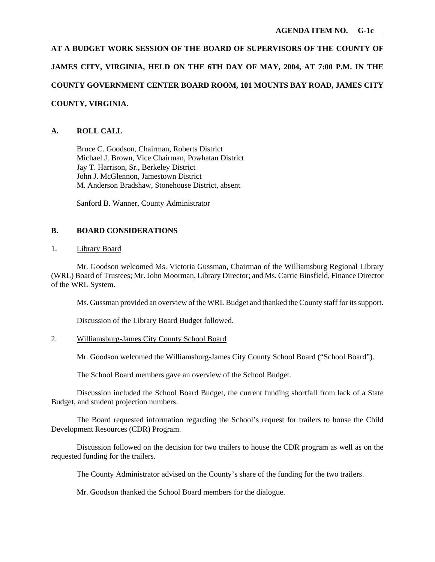**AT A BUDGET WORK SESSION OF THE BOARD OF SUPERVISORS OF THE COUNTY OF JAMES CITY, VIRGINIA, HELD ON THE 6TH DAY OF MAY, 2004, AT 7:00 P.M. IN THE COUNTY GOVERNMENT CENTER BOARD ROOM, 101 MOUNTS BAY ROAD, JAMES CITY COUNTY, VIRGINIA.**

# **A. ROLL CALL**

Bruce C. Goodson, Chairman, Roberts District Michael J. Brown, Vice Chairman, Powhatan District Jay T. Harrison, Sr., Berkeley District John J. McGlennon, Jamestown District M. Anderson Bradshaw, Stonehouse District, absent

Sanford B. Wanner, County Administrator

## **B. BOARD CONSIDERATIONS**

#### 1. Library Board

Mr. Goodson welcomed Ms. Victoria Gussman, Chairman of the Williamsburg Regional Library (WRL) Board of Trustees; Mr. John Moorman, Library Director; and Ms. Carrie Binsfield, Finance Director of the WRL System.

Ms. Gussman provided an overview of the WRL Budget and thanked the County staff for its support.

Discussion of the Library Board Budget followed.

## 2. Williamsburg-James City County School Board

Mr. Goodson welcomed the Williamsburg-James City County School Board ("School Board").

The School Board members gave an overview of the School Budget.

Discussion included the School Board Budget, the current funding shortfall from lack of a State Budget, and student projection numbers.

The Board requested information regarding the School's request for trailers to house the Child Development Resources (CDR) Program.

Discussion followed on the decision for two trailers to house the CDR program as well as on the requested funding for the trailers.

The County Administrator advised on the County's share of the funding for the two trailers.

Mr. Goodson thanked the School Board members for the dialogue.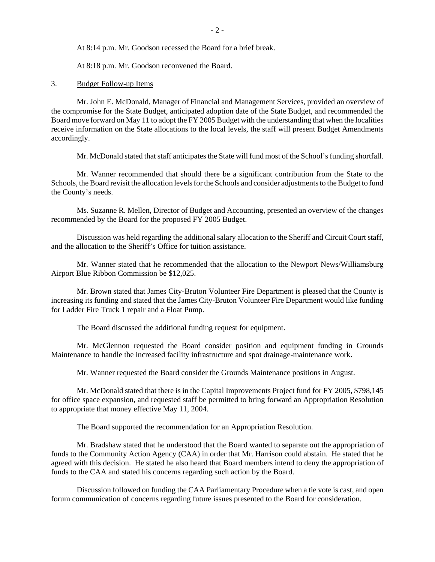At 8:14 p.m. Mr. Goodson recessed the Board for a brief break.

At 8:18 p.m. Mr. Goodson reconvened the Board.

#### 3. Budget Follow-up Items

Mr. John E. McDonald, Manager of Financial and Management Services, provided an overview of the compromise for the State Budget, anticipated adoption date of the State Budget, and recommended the Board move forward on May 11 to adopt the FY 2005 Budget with the understanding that when the localities receive information on the State allocations to the local levels, the staff will present Budget Amendments accordingly.

Mr. McDonald stated that staff anticipates the State will fund most of the School's funding shortfall.

Mr. Wanner recommended that should there be a significant contribution from the State to the Schools, the Board revisit the allocation levels for the Schools and consider adjustments to the Budget to fund the County's needs.

Ms. Suzanne R. Mellen, Director of Budget and Accounting, presented an overview of the changes recommended by the Board for the proposed FY 2005 Budget.

Discussion was held regarding the additional salary allocation to the Sheriff and Circuit Court staff, and the allocation to the Sheriff's Office for tuition assistance.

Mr. Wanner stated that he recommended that the allocation to the Newport News/Williamsburg Airport Blue Ribbon Commission be \$12,025.

Mr. Brown stated that James City-Bruton Volunteer Fire Department is pleased that the County is increasing its funding and stated that the James City-Bruton Volunteer Fire Department would like funding for Ladder Fire Truck 1 repair and a Float Pump.

The Board discussed the additional funding request for equipment.

Mr. McGlennon requested the Board consider position and equipment funding in Grounds Maintenance to handle the increased facility infrastructure and spot drainage-maintenance work.

Mr. Wanner requested the Board consider the Grounds Maintenance positions in August.

Mr. McDonald stated that there is in the Capital Improvements Project fund for FY 2005, \$798,145 for office space expansion, and requested staff be permitted to bring forward an Appropriation Resolution to appropriate that money effective May 11, 2004.

The Board supported the recommendation for an Appropriation Resolution.

Mr. Bradshaw stated that he understood that the Board wanted to separate out the appropriation of funds to the Community Action Agency (CAA) in order that Mr. Harrison could abstain. He stated that he agreed with this decision. He stated he also heard that Board members intend to deny the appropriation of funds to the CAA and stated his concerns regarding such action by the Board.

Discussion followed on funding the CAA Parliamentary Procedure when a tie vote is cast, and open forum communication of concerns regarding future issues presented to the Board for consideration.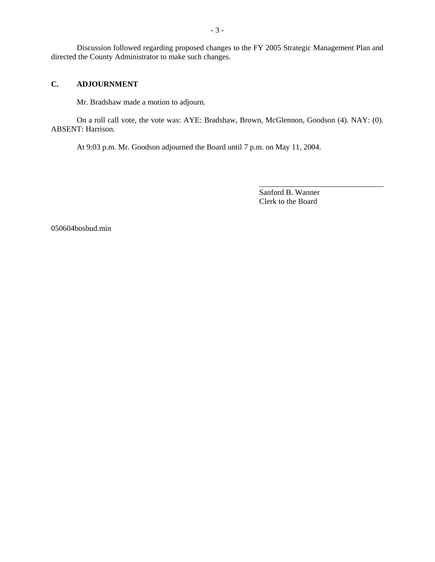Discussion followed regarding proposed changes to the FY 2005 Strategic Management Plan and directed the County Administrator to make such changes.

## **C. ADJOURNMENT**

Mr. Bradshaw made a motion to adjourn.

On a roll call vote, the vote was: AYE: Bradshaw, Brown, McGlennon, Goodson (4). NAY: (0). ABSENT: Harrison.

At 9:03 p.m. Mr. Goodson adjourned the Board until 7 p.m. on May 11, 2004.

Sanford B. Wanner Clerk to the Board

\_\_\_\_\_\_\_\_\_\_\_\_\_\_\_\_\_\_\_\_\_\_\_\_\_\_\_\_\_\_\_\_

050604bosbud.min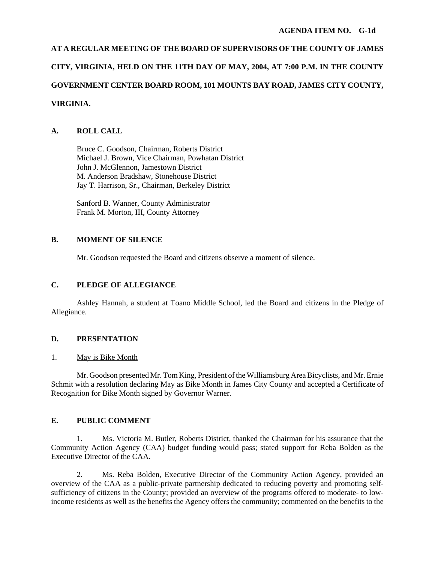# **AT A REGULAR MEETING OF THE BOARD OF SUPERVISORS OF THE COUNTY OF JAMES CITY, VIRGINIA, HELD ON THE 11TH DAY OF MAY, 2004, AT 7:00 P.M. IN THE COUNTY GOVERNMENT CENTER BOARD ROOM, 101 MOUNTS BAY ROAD, JAMES CITY COUNTY, VIRGINIA.**

# **A. ROLL CALL**

Bruce C. Goodson, Chairman, Roberts District Michael J. Brown, Vice Chairman, Powhatan District John J. McGlennon, Jamestown District M. Anderson Bradshaw, Stonehouse District Jay T. Harrison, Sr., Chairman, Berkeley District

Sanford B. Wanner, County Administrator Frank M. Morton, III, County Attorney

## **B. MOMENT OF SILENCE**

Mr. Goodson requested the Board and citizens observe a moment of silence.

# **C. PLEDGE OF ALLEGIANCE**

Ashley Hannah, a student at Toano Middle School, led the Board and citizens in the Pledge of Allegiance.

## **D. PRESENTATION**

## 1. May is Bike Month

Mr. Goodson presented Mr. Tom King, President of the Williamsburg Area Bicyclists, and Mr. Ernie Schmit with a resolution declaring May as Bike Month in James City County and accepted a Certificate of Recognition for Bike Month signed by Governor Warner.

## **E. PUBLIC COMMENT**

1. Ms. Victoria M. Butler, Roberts District, thanked the Chairman for his assurance that the Community Action Agency (CAA) budget funding would pass; stated support for Reba Bolden as the Executive Director of the CAA.

2. Ms. Reba Bolden, Executive Director of the Community Action Agency, provided an overview of the CAA as a public-private partnership dedicated to reducing poverty and promoting selfsufficiency of citizens in the County; provided an overview of the programs offered to moderate- to lowincome residents as well as the benefits the Agency offers the community; commented on the benefits to the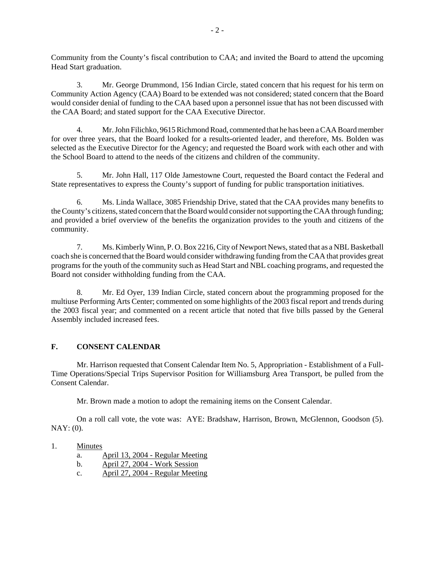Community from the County's fiscal contribution to CAA; and invited the Board to attend the upcoming Head Start graduation.

3. Mr. George Drummond, 156 Indian Circle, stated concern that his request for his term on Community Action Agency (CAA) Board to be extended was not considered; stated concern that the Board would consider denial of funding to the CAA based upon a personnel issue that has not been discussed with the CAA Board; and stated support for the CAA Executive Director.

4. Mr. John Filichko, 9615 Richmond Road, commented that he has been a CAA Board member for over three years, that the Board looked for a results-oriented leader, and therefore, Ms. Bolden was selected as the Executive Director for the Agency; and requested the Board work with each other and with the School Board to attend to the needs of the citizens and children of the community.

5. Mr. John Hall, 117 Olde Jamestowne Court, requested the Board contact the Federal and State representatives to express the County's support of funding for public transportation initiatives.

6. Ms. Linda Wallace, 3085 Friendship Drive, stated that the CAA provides many benefits to the County's citizens, stated concern that the Board would consider not supporting the CAA through funding; and provided a brief overview of the benefits the organization provides to the youth and citizens of the community.

7. Ms. Kimberly Winn, P. O. Box 2216, City of Newport News, stated that as a NBL Basketball coach she is concerned that the Board would consider withdrawing funding from the CAA that provides great programs for the youth of the community such as Head Start and NBL coaching programs, and requested the Board not consider withholding funding from the CAA.

8. Mr. Ed Oyer, 139 Indian Circle, stated concern about the programming proposed for the multiuse Performing Arts Center; commented on some highlights of the 2003 fiscal report and trends during the 2003 fiscal year; and commented on a recent article that noted that five bills passed by the General Assembly included increased fees.

# **F. CONSENT CALENDAR**

Mr. Harrison requested that Consent Calendar Item No. 5, Appropriation - Establishment of a Full-Time Operations/Special Trips Supervisor Position for Williamsburg Area Transport, be pulled from the Consent Calendar.

Mr. Brown made a motion to adopt the remaining items on the Consent Calendar.

On a roll call vote, the vote was: AYE: Bradshaw, Harrison, Brown, McGlennon, Goodson (5). NAY: (0).

- 1. Minutes
	- a. April 13, 2004 Regular Meeting
	- b. April 27, 2004 Work Session
	- c. April 27, 2004 Regular Meeting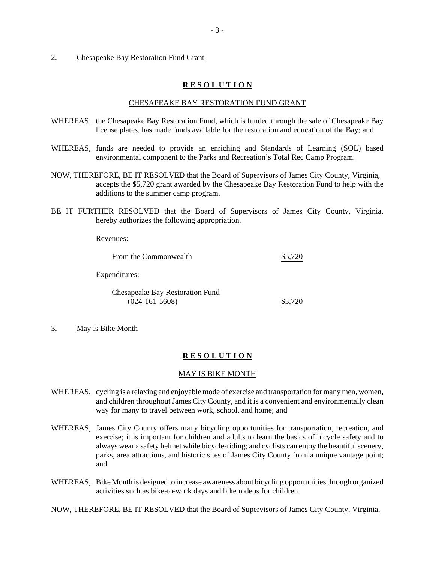#### 2. Chesapeake Bay Restoration Fund Grant

#### **R E S O L U T I O N**

#### CHESAPEAKE BAY RESTORATION FUND GRANT

- WHEREAS, the Chesapeake Bay Restoration Fund, which is funded through the sale of Chesapeake Bay license plates, has made funds available for the restoration and education of the Bay; and
- WHEREAS, funds are needed to provide an enriching and Standards of Learning (SOL) based environmental component to the Parks and Recreation's Total Rec Camp Program.
- NOW, THEREFORE, BE IT RESOLVED that the Board of Supervisors of James City County, Virginia, accepts the \$5,720 grant awarded by the Chesapeake Bay Restoration Fund to help with the additions to the summer camp program.
- BE IT FURTHER RESOLVED that the Board of Supervisors of James City County, Virginia, hereby authorizes the following appropriation.

Revenues:

From the Commonwealth  $$5,720$ 

Expenditures:

Chesapeake Bay Restoration Fund (024-161-5608) \$5,720

#### 3. May is Bike Month

#### **R E S O L U T I O N**

#### MAY IS BIKE MONTH

- WHEREAS, cycling is a relaxing and enjoyable mode of exercise and transportation for many men, women, and children throughout James City County, and it is a convenient and environmentally clean way for many to travel between work, school, and home; and
- WHEREAS, James City County offers many bicycling opportunities for transportation, recreation, and exercise; it is important for children and adults to learn the basics of bicycle safety and to always wear a safety helmet while bicycle-riding; and cyclists can enjoy the beautiful scenery, parks, area attractions, and historic sites of James City County from a unique vantage point; and
- WHEREAS, Bike Month is designed to increase awareness about bicycling opportunities through organized activities such as bike-to-work days and bike rodeos for children.

NOW, THEREFORE, BE IT RESOLVED that the Board of Supervisors of James City County, Virginia,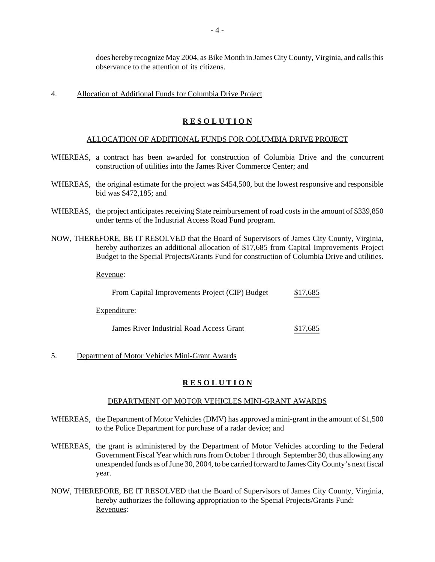does hereby recognize May 2004, as Bike Month in James City County, Virginia, and calls this observance to the attention of its citizens.

#### 4. Allocation of Additional Funds for Columbia Drive Project

## **R E S O L U T I O N**

#### ALLOCATION OF ADDITIONAL FUNDS FOR COLUMBIA DRIVE PROJECT

- WHEREAS, a contract has been awarded for construction of Columbia Drive and the concurrent construction of utilities into the James River Commerce Center; and
- WHEREAS, the original estimate for the project was \$454,500, but the lowest responsive and responsible bid was \$472,185; and
- WHEREAS, the project anticipates receiving State reimbursement of road costs in the amount of \$339,850 under terms of the Industrial Access Road Fund program.
- NOW, THEREFORE, BE IT RESOLVED that the Board of Supervisors of James City County, Virginia, hereby authorizes an additional allocation of \$17,685 from Capital Improvements Project Budget to the Special Projects/Grants Fund for construction of Columbia Drive and utilities.

Revenue:

| From Capital Improvements Project (CIP) Budget | \$17,685 |
|------------------------------------------------|----------|
| Expenditure:                                   |          |

James River Industrial Road Access Grant \$17,685

5. Department of Motor Vehicles Mini-Grant Awards

#### **R E S O L U T I O N**

#### DEPARTMENT OF MOTOR VEHICLES MINI-GRANT AWARDS

- WHEREAS, the Department of Motor Vehicles (DMV) has approved a mini-grant in the amount of \$1,500 to the Police Department for purchase of a radar device; and
- WHEREAS, the grant is administered by the Department of Motor Vehicles according to the Federal Government Fiscal Year which runs from October 1 through September 30, thus allowing any unexpended funds as of June 30, 2004, to be carried forward to James City County's next fiscal year.
- NOW, THEREFORE, BE IT RESOLVED that the Board of Supervisors of James City County, Virginia, hereby authorizes the following appropriation to the Special Projects/Grants Fund: Revenues: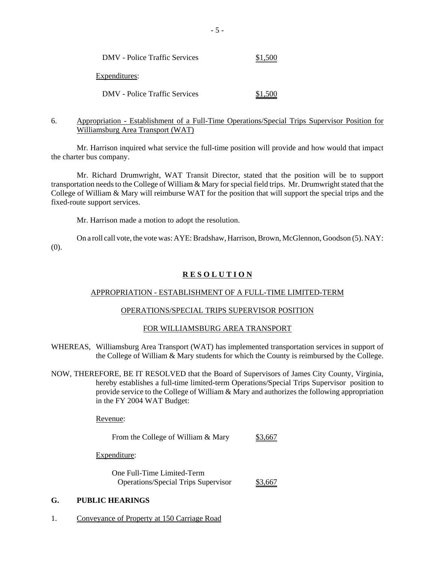| <b>DMV</b> - Police Traffic Services | \$1,500 |
|--------------------------------------|---------|
| Expenditures:                        |         |
| DMV - Police Traffic Services        | \$1,500 |

## 6. Appropriation - Establishment of a Full-Time Operations/Special Trips Supervisor Position for Williamsburg Area Transport (WAT)

Mr. Harrison inquired what service the full-time position will provide and how would that impact the charter bus company.

Mr. Richard Drumwright, WAT Transit Director, stated that the position will be to support transportation needs to the College of William & Mary for special field trips. Mr. Drumwright stated that the College of William & Mary will reimburse WAT for the position that will support the special trips and the fixed-route support services.

Mr. Harrison made a motion to adopt the resolution.

On a roll call vote, the vote was: AYE: Bradshaw, Harrison, Brown, McGlennon, Goodson (5). NAY: (0).

## **R E S O L U T I O N**

## APPROPRIATION - ESTABLISHMENT OF A FULL-TIME LIMITED-TERM

#### OPERATIONS/SPECIAL TRIPS SUPERVISOR POSITION

#### FOR WILLIAMSBURG AREA TRANSPORT

- WHEREAS, Williamsburg Area Transport (WAT) has implemented transportation services in support of the College of William & Mary students for which the County is reimbursed by the College.
- NOW, THEREFORE, BE IT RESOLVED that the Board of Supervisors of James City County, Virginia, hereby establishes a full-time limited-term Operations/Special Trips Supervisor position to provide service to the College of William & Mary and authorizes the following appropriation in the FY 2004 WAT Budget:

Revenue:

From the College of William & Mary  $$3,667$ 

Expenditure:

One Full-Time Limited-Term Operations/Special Trips Supervisor \$3,667

## **G. PUBLIC HEARINGS**

1. Conveyance of Property at 150 Carriage Road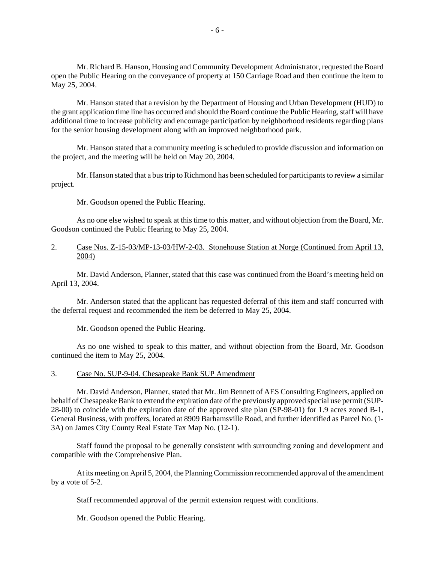Mr. Richard B. Hanson, Housing and Community Development Administrator, requested the Board open the Public Hearing on the conveyance of property at 150 Carriage Road and then continue the item to May 25, 2004.

Mr. Hanson stated that a revision by the Department of Housing and Urban Development (HUD) to the grant application time line has occurred and should the Board continue the Public Hearing, staff will have additional time to increase publicity and encourage participation by neighborhood residents regarding plans for the senior housing development along with an improved neighborhood park.

Mr. Hanson stated that a community meeting is scheduled to provide discussion and information on the project, and the meeting will be held on May 20, 2004.

Mr. Hanson stated that a bus trip to Richmond has been scheduled for participants to review a similar project.

Mr. Goodson opened the Public Hearing.

As no one else wished to speak at this time to this matter, and without objection from the Board, Mr. Goodson continued the Public Hearing to May 25, 2004.

#### 2. Case Nos. Z-15-03/MP-13-03/HW-2-03. Stonehouse Station at Norge (Continued from April 13, 2004)

Mr. David Anderson, Planner, stated that this case was continued from the Board's meeting held on April 13, 2004.

Mr. Anderson stated that the applicant has requested deferral of this item and staff concurred with the deferral request and recommended the item be deferred to May 25, 2004.

Mr. Goodson opened the Public Hearing.

As no one wished to speak to this matter, and without objection from the Board, Mr. Goodson continued the item to May 25, 2004.

#### 3. Case No. SUP-9-04. Chesapeake Bank SUP Amendment

Mr. David Anderson, Planner, stated that Mr. Jim Bennett of AES Consulting Engineers, applied on behalf of Chesapeake Bank to extend the expiration date of the previously approved special use permit (SUP-28-00) to coincide with the expiration date of the approved site plan (SP-98-01) for 1.9 acres zoned B-1, General Business, with proffers, located at 8909 Barhamsville Road, and further identified as Parcel No. (1- 3A) on James City County Real Estate Tax Map No. (12-1).

Staff found the proposal to be generally consistent with surrounding zoning and development and compatible with the Comprehensive Plan.

At its meeting on April 5, 2004, the Planning Commission recommended approval of the amendment by a vote of 5-2.

Staff recommended approval of the permit extension request with conditions.

Mr. Goodson opened the Public Hearing.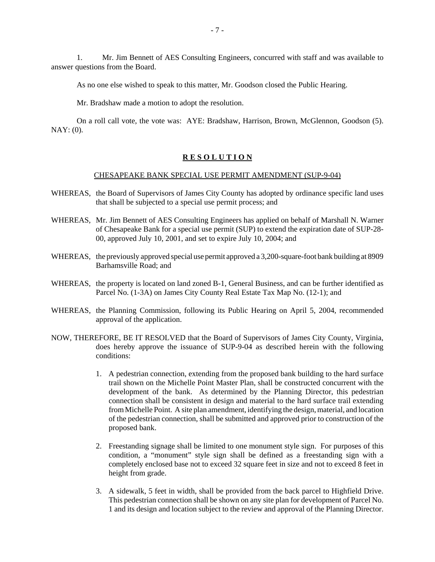1. Mr. Jim Bennett of AES Consulting Engineers, concurred with staff and was available to answer questions from the Board.

As no one else wished to speak to this matter, Mr. Goodson closed the Public Hearing.

Mr. Bradshaw made a motion to adopt the resolution.

On a roll call vote, the vote was: AYE: Bradshaw, Harrison, Brown, McGlennon, Goodson (5). NAY: (0).

## **R E S O L U T I O N**

#### CHESAPEAKE BANK SPECIAL USE PERMIT AMENDMENT (SUP-9-04)

- WHEREAS, the Board of Supervisors of James City County has adopted by ordinance specific land uses that shall be subjected to a special use permit process; and
- WHEREAS, Mr. Jim Bennett of AES Consulting Engineers has applied on behalf of Marshall N. Warner of Chesapeake Bank for a special use permit (SUP) to extend the expiration date of SUP-28- 00, approved July 10, 2001, and set to expire July 10, 2004; and
- WHEREAS, the previously approved special use permit approved a 3,200-square-foot bank building at 8909 Barhamsville Road; and
- WHEREAS, the property is located on land zoned B-1, General Business, and can be further identified as Parcel No. (1-3A) on James City County Real Estate Tax Map No. (12-1); and
- WHEREAS, the Planning Commission, following its Public Hearing on April 5, 2004, recommended approval of the application.
- NOW, THEREFORE, BE IT RESOLVED that the Board of Supervisors of James City County, Virginia, does hereby approve the issuance of SUP-9-04 as described herein with the following conditions:
	- 1. A pedestrian connection, extending from the proposed bank building to the hard surface trail shown on the Michelle Point Master Plan, shall be constructed concurrent with the development of the bank. As determined by the Planning Director, this pedestrian connection shall be consistent in design and material to the hard surface trail extending from Michelle Point. A site plan amendment, identifying the design, material, and location of the pedestrian connection, shall be submitted and approved prior to construction of the proposed bank.
	- 2. Freestanding signage shall be limited to one monument style sign. For purposes of this condition, a "monument" style sign shall be defined as a freestanding sign with a completely enclosed base not to exceed 32 square feet in size and not to exceed 8 feet in height from grade.
	- 3. A sidewalk, 5 feet in width, shall be provided from the back parcel to Highfield Drive. This pedestrian connection shall be shown on any site plan for development of Parcel No. 1 and its design and location subject to the review and approval of the Planning Director.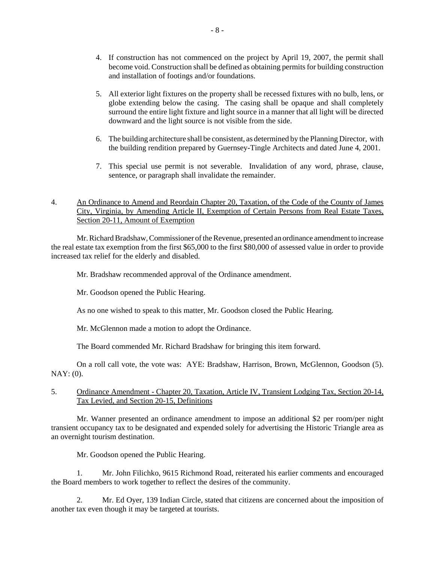- 4. If construction has not commenced on the project by April 19, 2007, the permit shall become void. Construction shall be defined as obtaining permits for building construction and installation of footings and/or foundations.
- 5. All exterior light fixtures on the property shall be recessed fixtures with no bulb, lens, or globe extending below the casing. The casing shall be opaque and shall completely surround the entire light fixture and light source in a manner that all light will be directed downward and the light source is not visible from the side.
- 6. The building architecture shall be consistent, as determined by the Planning Director, with the building rendition prepared by Guernsey-Tingle Architects and dated June 4, 2001.
- 7. This special use permit is not severable. Invalidation of any word, phrase, clause, sentence, or paragraph shall invalidate the remainder.
- 4. An Ordinance to Amend and Reordain Chapter 20, Taxation, of the Code of the County of James City, Virginia, by Amending Article II, Exemption of Certain Persons from Real Estate Taxes, Section 20-11, Amount of Exemption

Mr. Richard Bradshaw, Commissioner of the Revenue, presented an ordinance amendment to increase the real estate tax exemption from the first \$65,000 to the first \$80,000 of assessed value in order to provide increased tax relief for the elderly and disabled.

Mr. Bradshaw recommended approval of the Ordinance amendment.

Mr. Goodson opened the Public Hearing.

As no one wished to speak to this matter, Mr. Goodson closed the Public Hearing.

Mr. McGlennon made a motion to adopt the Ordinance.

The Board commended Mr. Richard Bradshaw for bringing this item forward.

On a roll call vote, the vote was: AYE: Bradshaw, Harrison, Brown, McGlennon, Goodson (5). NAY: (0).

## 5. Ordinance Amendment - Chapter 20, Taxation, Article IV, Transient Lodging Tax, Section 20-14, Tax Levied, and Section 20-15, Definitions

Mr. Wanner presented an ordinance amendment to impose an additional \$2 per room/per night transient occupancy tax to be designated and expended solely for advertising the Historic Triangle area as an overnight tourism destination.

Mr. Goodson opened the Public Hearing.

1. Mr. John Filichko, 9615 Richmond Road, reiterated his earlier comments and encouraged the Board members to work together to reflect the desires of the community.

2. Mr. Ed Oyer, 139 Indian Circle, stated that citizens are concerned about the imposition of another tax even though it may be targeted at tourists.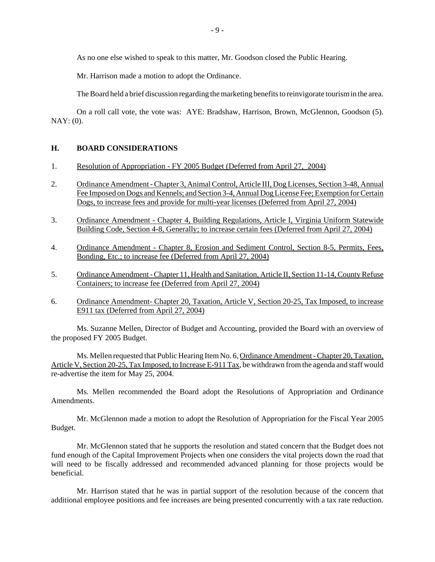As no one else wished to speak to this matter, Mr. Goodson closed the Public Hearing.

Mr. Harrison made a motion to adopt the Ordinance.

The Board held a brief discussion regarding the marketing benefits to reinvigorate tourism in the area.

On a roll call vote, the vote was: AYE: Bradshaw, Harrison, Brown, McGlennon, Goodson (5). NAY: (0).

## **H. BOARD CONSIDERATIONS**

- 1. Resolution of Appropriation FY 2005 Budget (Deferred from April 27, 2004)
- 2. Ordinance Amendment Chapter 3, Animal Control, Article III, Dog Licenses, Section 3-48, Annual Fee Imposed on Dogs and Kennels; and Section 3-4, Annual Dog License Fee; Exemption for Certain Dogs, to increase fees and provide for multi-year licenses (Deferred from April 27, 2004)
- 3. Ordinance Amendment Chapter 4, Building Regulations, Article I, Virginia Uniform Statewide Building Code, Section 4-8, Generally; to increase certain fees (Deferred from April 27, 2004)
- 4. Ordinance Amendment Chapter 8, Erosion and Sediment Control, Section 8-5, Permits, Fees, Bonding, Etc.; to increase fee (Deferred from April 27, 2004)
- 5. Ordinance Amendment Chapter 11, Health and Sanitation, Article II, Section 11-14, County Refuse Containers; to increase fee (Deferred from April 27, 2004)
- 6. Ordinance Amendment- Chapter 20, Taxation, Article V, Section 20-25, Tax Imposed, to increase E911 tax (Deferred from April 27, 2004)

Ms. Suzanne Mellen, Director of Budget and Accounting, provided the Board with an overview of the proposed FY 2005 Budget.

Ms. Mellen requested that Public Hearing Item No. 6, Ordinance Amendment - Chapter 20, Taxation, Article V, Section 20-25, Tax Imposed, to Increase E-911 Tax, be withdrawn from the agenda and staff would re-advertise the item for May 25, 2004.

Ms. Mellen recommended the Board adopt the Resolutions of Appropriation and Ordinance Amendments.

Mr. McGlennon made a motion to adopt the Resolution of Appropriation for the Fiscal Year 2005 Budget.

Mr. McGlennon stated that he supports the resolution and stated concern that the Budget does not fund enough of the Capital Improvement Projects when one considers the vital projects down the road that will need to be fiscally addressed and recommended advanced planning for those projects would be beneficial.

Mr. Harrison stated that he was in partial support of the resolution because of the concern that additional employee positions and fee increases are being presented concurrently with a tax rate reduction.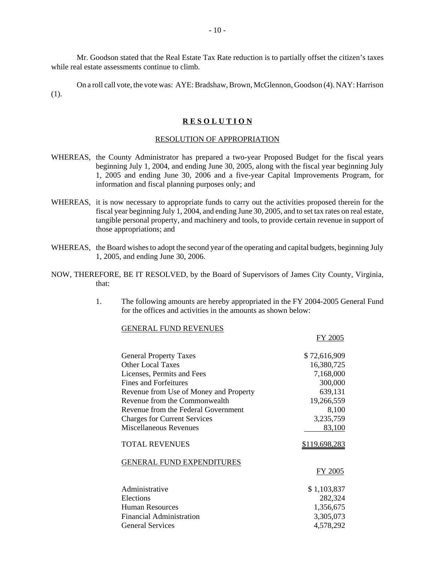Mr. Goodson stated that the Real Estate Tax Rate reduction is to partially offset the citizen's taxes while real estate assessments continue to climb.

On a roll call vote, the vote was: AYE: Bradshaw, Brown, McGlennon, Goodson (4). NAY: Harrison (1).

#### **R E S O L U T I O N**

#### RESOLUTION OF APPROPRIATION

- WHEREAS, the County Administrator has prepared a two-year Proposed Budget for the fiscal years beginning July 1, 2004, and ending June 30, 2005, along with the fiscal year beginning July 1, 2005 and ending June 30, 2006 and a five-year Capital Improvements Program, for information and fiscal planning purposes only; and
- WHEREAS, it is now necessary to appropriate funds to carry out the activities proposed therein for the fiscal year beginning July 1, 2004, and ending June 30, 2005, and to set tax rates on real estate, tangible personal property, and machinery and tools, to provide certain revenue in support of those appropriations; and
- WHEREAS, the Board wishes to adopt the second year of the operating and capital budgets, beginning July 1, 2005, and ending June 30, 2006.
- NOW, THEREFORE, BE IT RESOLVED, by the Board of Supervisors of James City County, Virginia, that:
	- 1. The following amounts are hereby appropriated in the FY 2004-2005 General Fund for the offices and activities in the amounts as shown below:

FY 2005

## GENERAL FUND REVENUES

| <b>General Property Taxes</b>          | \$72,616,909  |
|----------------------------------------|---------------|
| <b>Other Local Taxes</b>               | 16,380,725    |
| Licenses, Permits and Fees             | 7,168,000     |
| Fines and Forfeitures                  | 300,000       |
| Revenue from Use of Money and Property | 639,131       |
| Revenue from the Commonwealth          | 19,266,559    |
| Revenue from the Federal Government    | 8,100         |
| <b>Charges for Current Services</b>    | 3,235,759     |
| Miscellaneous Revenues                 | 83,100        |
| <b>TOTAL REVENUES</b>                  | \$119,698,283 |
| <b>GENERAL FUND EXPENDITURES</b>       |               |
|                                        | FY 2005       |
| Administrative                         | \$1,103,837   |
| Elections                              | 282,324       |
| <b>Human Resources</b>                 | 1,356,675     |
| Financial Administration               | 3,305,073     |
| <b>General Services</b>                | 4,578,292     |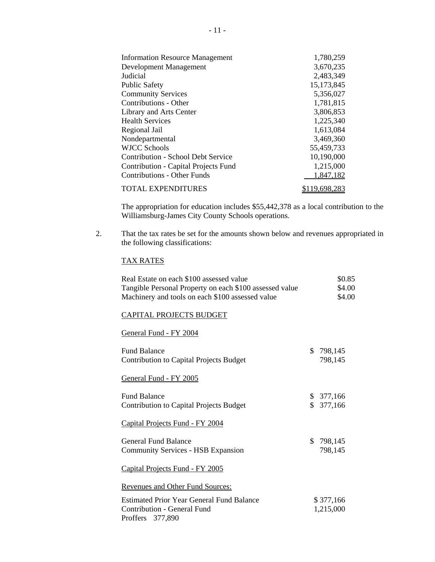| <b>Information Resource Management</b> | 1,780,259     |
|----------------------------------------|---------------|
| Development Management                 | 3,670,235     |
| Judicial                               | 2,483,349     |
| <b>Public Safety</b>                   | 15, 173, 845  |
| <b>Community Services</b>              | 5,356,027     |
| Contributions - Other                  | 1,781,815     |
| Library and Arts Center                | 3,806,853     |
| <b>Health Services</b>                 | 1,225,340     |
| Regional Jail                          | 1,613,084     |
| Nondepartmental                        | 3,469,360     |
| <b>WJCC Schools</b>                    | 55,459,733    |
| Contribution - School Debt Service     | 10,190,000    |
| Contribution - Capital Projects Fund   | 1,215,000     |
| <b>Contributions - Other Funds</b>     | 1,847,182     |
| <b>TOTAL EXPENDITURES</b>              | \$119,698,283 |

The appropriation for education includes \$55,442,378 as a local contribution to the Williamsburg-James City County Schools operations.

2. That the tax rates be set for the amounts shown below and revenues appropriated in the following classifications:

#### TAX RATES

| Real Estate on each \$100 assessed value<br>Tangible Personal Property on each \$100 assessed value<br>Machinery and tools on each \$100 assessed value | \$0.85<br>\$4.00<br>\$4.00 |
|---------------------------------------------------------------------------------------------------------------------------------------------------------|----------------------------|
| <b>CAPITAL PROJECTS BUDGET</b>                                                                                                                          |                            |
| General Fund - FY 2004                                                                                                                                  |                            |
| <b>Fund Balance</b><br><b>Contribution to Capital Projects Budget</b>                                                                                   | \$<br>798,145<br>798,145   |
| General Fund - FY 2005                                                                                                                                  |                            |
| <b>Fund Balance</b><br><b>Contribution to Capital Projects Budget</b>                                                                                   | \$377,166<br>\$377,166     |
| Capital Projects Fund - FY 2004                                                                                                                         |                            |
| <b>General Fund Balance</b><br><b>Community Services - HSB Expansion</b>                                                                                | \$798,145<br>798,145       |
| Capital Projects Fund - FY 2005                                                                                                                         |                            |
| <b>Revenues and Other Fund Sources:</b>                                                                                                                 |                            |
| <b>Estimated Prior Year General Fund Balance</b><br>Contribution - General Fund<br>Proffers 377,890                                                     | \$377,166<br>1,215,000     |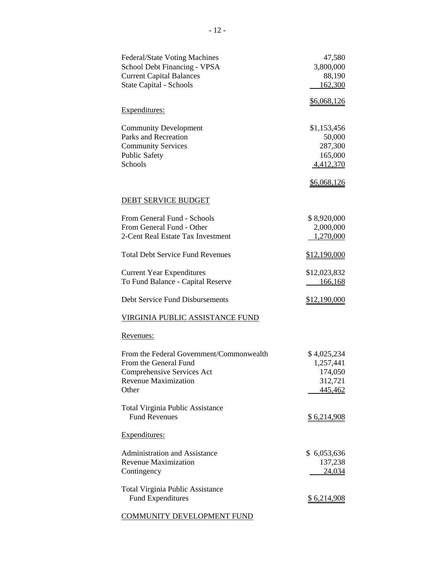| Federal/State Voting Machines<br>School Debt Financing - VPSA<br><b>Current Capital Balances</b><br>State Capital - Schools                                                                                | 47,580<br>3,800,000<br>88,190<br>162,300                                       |
|------------------------------------------------------------------------------------------------------------------------------------------------------------------------------------------------------------|--------------------------------------------------------------------------------|
| Expenditures:                                                                                                                                                                                              | \$6,068,126                                                                    |
| <b>Community Development</b><br>Parks and Recreation<br><b>Community Services</b><br><b>Public Safety</b><br>Schools                                                                                       | \$1,153,456<br>50,000<br>287,300<br>165,000<br>4,412,370<br><u>\$6,068,126</u> |
| DEBT SERVICE BUDGET                                                                                                                                                                                        |                                                                                |
| From General Fund - Schools<br>From General Fund - Other<br>2-Cent Real Estate Tax Investment                                                                                                              | \$8,920,000<br>2,000,000<br>1,270,000                                          |
| <b>Total Debt Service Fund Revenues</b>                                                                                                                                                                    | \$12,190,000                                                                   |
| <b>Current Year Expenditures</b><br>To Fund Balance - Capital Reserve                                                                                                                                      | \$12,023,832<br>166,168                                                        |
| Debt Service Fund Disbursements                                                                                                                                                                            | \$12,190,000                                                                   |
| VIRGINIA PUBLIC ASSISTANCE FUND                                                                                                                                                                            |                                                                                |
| <u>Revenues:</u>                                                                                                                                                                                           |                                                                                |
| From the Federal Government/Commonwealth<br>From the General Fund<br>Comprehensive Services Act<br><b>Revenue Maximization</b><br>Other<br><b>Total Virginia Public Assistance</b><br><b>Fund Revenues</b> | \$4,025,234<br>1,257,441<br>174,050<br>312,721<br>445,462                      |
|                                                                                                                                                                                                            | <u>\$6,214,908</u>                                                             |
| Expenditures:                                                                                                                                                                                              |                                                                                |
| Administration and Assistance<br><b>Revenue Maximization</b><br>Contingency                                                                                                                                | \$ 6,053,636<br>137,238<br>24,034                                              |
| <b>Total Virginia Public Assistance</b><br><b>Fund Expenditures</b>                                                                                                                                        | <u>\$6,214,908</u>                                                             |
| <b>COMMUNITY DEVELOPMENT FUND</b>                                                                                                                                                                          |                                                                                |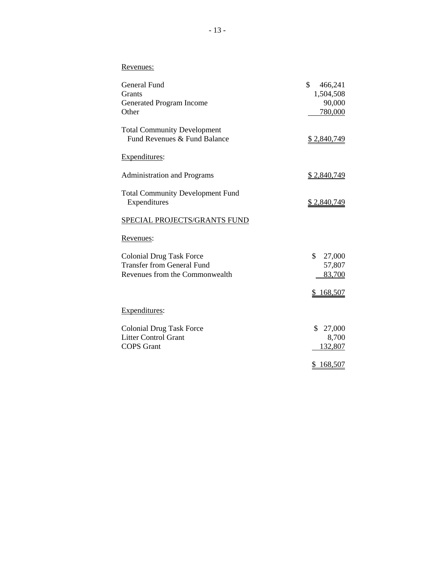# Revenues:

| General Fund                            | \$<br>466,241      |
|-----------------------------------------|--------------------|
| <b>Grants</b>                           | 1,504,508          |
| Generated Program Income                | 90,000             |
| Other                                   | 780,000            |
| <b>Total Community Development</b>      |                    |
| Fund Revenues & Fund Balance            | <u>\$2,840,749</u> |
| Expenditures:                           |                    |
| <b>Administration and Programs</b>      | \$2,840,749        |
| <b>Total Community Development Fund</b> |                    |
| Expenditures                            | <u>\$2,840,749</u> |
| SPECIAL PROJECTS/GRANTS FUND            |                    |
| Revenues:                               |                    |
| <b>Colonial Drug Task Force</b>         | \$<br>27,000       |
| <b>Transfer from General Fund</b>       | 57,807             |
| Revenues from the Commonwealth          | 83,700             |
|                                         | 168,507            |
| Expenditures:                           |                    |
| <b>Colonial Drug Task Force</b>         | \$<br>27,000       |
| <b>Litter Control Grant</b>             | 8,700              |
| <b>COPS</b> Grant                       | 132,807            |
|                                         | 168,507<br>\$      |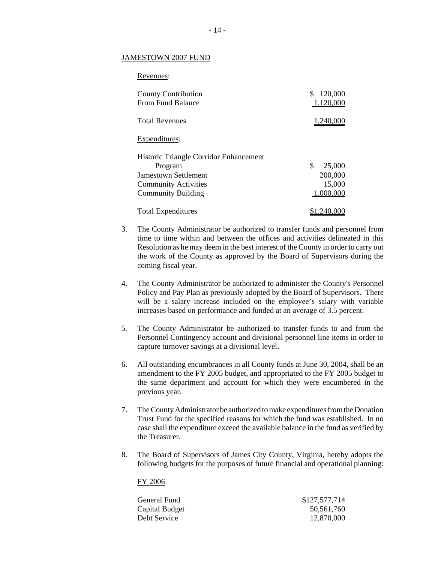#### JAMESTOWN 2007 FUND

| Revenues:                                       |                            |
|-------------------------------------------------|----------------------------|
| <b>County Contribution</b><br>From Fund Balance | \$<br>120,000<br>1,120,000 |
| <b>Total Revenues</b>                           | 1,240,000                  |
| Expenditures:                                   |                            |
| Historic Triangle Corridor Enhancement          |                            |
| Program                                         | \$<br>25,000               |
| <b>Jamestown Settlement</b>                     | 200,000                    |
| <b>Community Activities</b>                     | 15,000                     |
| <b>Community Building</b>                       | 1,000,000                  |
| <b>Total Expenditures</b>                       | \$1,240,000                |

- 3. The County Administrator be authorized to transfer funds and personnel from time to time within and between the offices and activities delineated in this Resolution as he may deem in the best interest of the County in order to carry out the work of the County as approved by the Board of Supervisors during the coming fiscal year.
- 4. The County Administrator be authorized to administer the County's Personnel Policy and Pay Plan as previously adopted by the Board of Supervisors. There will be a salary increase included on the employee's salary with variable increases based on performance and funded at an average of 3.5 percent.
- 5*.* The County Administrator be authorized to transfer funds to and from the Personnel Contingency account and divisional personnel line items in order to capture turnover savings at a divisional level.
- 6. All outstanding encumbrances in all County funds at June 30, 2004, shall be an amendment to the FY 2005 budget, and appropriated to the FY 2005 budget to the same department and account for which they were encumbered in the previous year.
- 7. The County Administrator be authorized to make expenditures from the Donation Trust Fund for the specified reasons for which the fund was established. In no case shall the expenditure exceed the available balance in the fund as verified by the Treasurer.
- 8. The Board of Supervisors of James City County, Virginia, hereby adopts the following budgets for the purposes of future financial and operational planning:

#### FY 2006

| General Fund   | \$127,577,714 |
|----------------|---------------|
| Capital Budget | 50,561,760    |
| Debt Service   | 12,870,000    |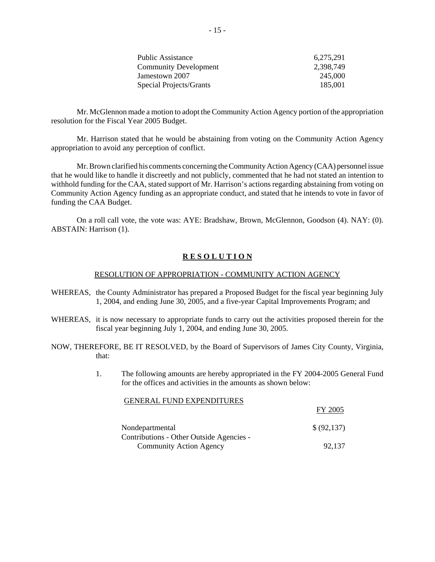| 6,275,291 |
|-----------|
| 2.398.749 |
| 245,000   |
| 185,001   |
|           |

Mr. McGlennon made a motion to adopt the Community Action Agency portion of the appropriation resolution for the Fiscal Year 2005 Budget.

Mr. Harrison stated that he would be abstaining from voting on the Community Action Agency appropriation to avoid any perception of conflict.

Mr. Brown clarified his comments concerning the Community Action Agency (CAA) personnel issue that he would like to handle it discreetly and not publicly, commented that he had not stated an intention to withhold funding for the CAA, stated support of Mr. Harrison's actions regarding abstaining from voting on Community Action Agency funding as an appropriate conduct, and stated that he intends to vote in favor of funding the CAA Budget.

On a roll call vote, the vote was: AYE: Bradshaw, Brown, McGlennon, Goodson (4). NAY: (0). ABSTAIN: Harrison (1).

## **R E S O L U T I O N**

#### RESOLUTION OF APPROPRIATION - COMMUNITY ACTION AGENCY

- WHEREAS, the County Administrator has prepared a Proposed Budget for the fiscal year beginning July 1, 2004, and ending June 30, 2005, and a five-year Capital Improvements Program; and
- WHEREAS, it is now necessary to appropriate funds to carry out the activities proposed therein for the fiscal year beginning July 1, 2004, and ending June 30, 2005.
- NOW, THEREFORE, BE IT RESOLVED, by the Board of Supervisors of James City County, Virginia, that:
	- 1. The following amounts are hereby appropriated in the FY 2004-2005 General Fund for the offices and activities in the amounts as shown below:

FY 2005

#### GENERAL FUND EXPENDITURES

|                                          | 1 1 <i>2</i> 7 7 8 7 |
|------------------------------------------|----------------------|
| Nondepartmental                          | \$ (92,137)          |
| Contributions - Other Outside Agencies - |                      |
| <b>Community Action Agency</b>           | 92.137               |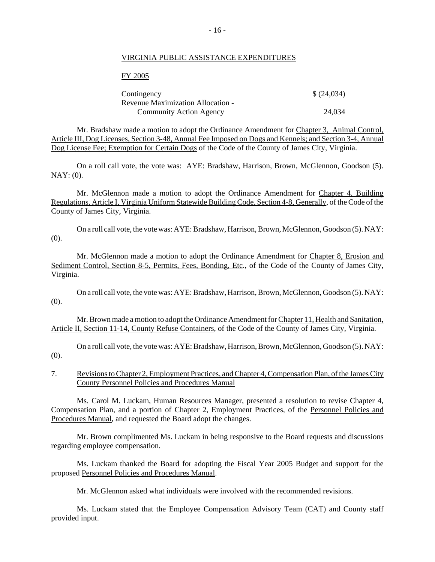#### VIRGINIA PUBLIC ASSISTANCE EXPENDITURES

#### FY 2005

| Contingency                       | \$ (24,034) |
|-----------------------------------|-------------|
| Revenue Maximization Allocation - |             |
| <b>Community Action Agency</b>    | 24.034      |

Mr. Bradshaw made a motion to adopt the Ordinance Amendment for Chapter 3, Animal Control, Article III, Dog Licenses, Section 3-48, Annual Fee Imposed on Dogs and Kennels; and Section 3-4, Annual Dog License Fee; Exemption for Certain Dogs of the Code of the County of James City, Virginia.

On a roll call vote, the vote was: AYE: Bradshaw, Harrison, Brown, McGlennon, Goodson (5). NAY: (0).

Mr. McGlennon made a motion to adopt the Ordinance Amendment for Chapter 4, Building Regulations, Article I, Virginia Uniform Statewide Building Code, Section 4-8, Generally, of the Code of the County of James City, Virginia.

On a roll call vote, the vote was: AYE: Bradshaw, Harrison, Brown, McGlennon, Goodson (5). NAY: (0).

Mr. McGlennon made a motion to adopt the Ordinance Amendment for Chapter 8, Erosion and Sediment Control, Section 8-5, Permits, Fees, Bonding, Etc., of the Code of the County of James City, Virginia.

On a roll call vote, the vote was: AYE: Bradshaw, Harrison, Brown, McGlennon, Goodson (5). NAY: (0).

Mr. Brown made a motion to adopt the Ordinance Amendment for Chapter 11, Health and Sanitation, Article II, Section 11-14, County Refuse Containers, of the Code of the County of James City, Virginia.

On a roll call vote, the vote was: AYE: Bradshaw, Harrison, Brown, McGlennon, Goodson (5). NAY: (0).

7. Revisions to Chapter 2, Employment Practices, and Chapter 4, Compensation Plan, of the James City County Personnel Policies and Procedures Manual

Ms. Carol M. Luckam, Human Resources Manager, presented a resolution to revise Chapter 4, Compensation Plan, and a portion of Chapter 2, Employment Practices, of the Personnel Policies and Procedures Manual, and requested the Board adopt the changes.

Mr. Brown complimented Ms. Luckam in being responsive to the Board requests and discussions regarding employee compensation.

Ms. Luckam thanked the Board for adopting the Fiscal Year 2005 Budget and support for the proposed Personnel Policies and Procedures Manual.

Mr. McGlennon asked what individuals were involved with the recommended revisions.

Ms. Luckam stated that the Employee Compensation Advisory Team (CAT) and County staff provided input.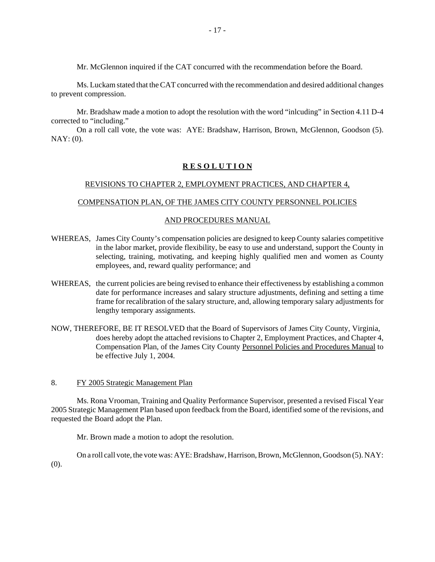Mr. McGlennon inquired if the CAT concurred with the recommendation before the Board.

Ms. Luckam stated that the CAT concurred with the recommendation and desired additional changes to prevent compression.

Mr. Bradshaw made a motion to adopt the resolution with the word "inlcuding" in Section 4.11 D-4 corrected to "including."

On a roll call vote, the vote was: AYE: Bradshaw, Harrison, Brown, McGlennon, Goodson (5). NAY: (0).

## **R E S O L U T I O N**

#### REVISIONS TO CHAPTER 2, EMPLOYMENT PRACTICES, AND CHAPTER 4,

#### COMPENSATION PLAN, OF THE JAMES CITY COUNTY PERSONNEL POLICIES

#### AND PROCEDURES MANUAL

- WHEREAS, James City County's compensation policies are designed to keep County salaries competitive in the labor market, provide flexibility, be easy to use and understand, support the County in selecting, training, motivating, and keeping highly qualified men and women as County employees, and, reward quality performance; and
- WHEREAS, the current policies are being revised to enhance their effectiveness by establishing a common date for performance increases and salary structure adjustments, defining and setting a time frame for recalibration of the salary structure, and, allowing temporary salary adjustments for lengthy temporary assignments.
- NOW, THEREFORE, BE IT RESOLVED that the Board of Supervisors of James City County, Virginia, does hereby adopt the attached revisions to Chapter 2, Employment Practices, and Chapter 4, Compensation Plan, of the James City County Personnel Policies and Procedures Manual to be effective July 1, 2004.
- 8. FY 2005 Strategic Management Plan

Ms. Rona Vrooman, Training and Quality Performance Supervisor, presented a revised Fiscal Year 2005 Strategic Management Plan based upon feedback from the Board, identified some of the revisions, and requested the Board adopt the Plan.

Mr. Brown made a motion to adopt the resolution.

On a roll call vote, the vote was: AYE: Bradshaw, Harrison, Brown, McGlennon, Goodson (5). NAY: (0).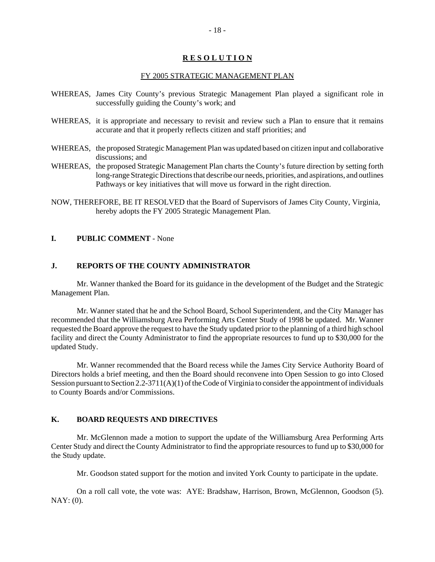## **R E S O L U T I O N**

#### FY 2005 STRATEGIC MANAGEMENT PLAN

- WHEREAS, James City County's previous Strategic Management Plan played a significant role in successfully guiding the County's work; and
- WHEREAS, it is appropriate and necessary to revisit and review such a Plan to ensure that it remains accurate and that it properly reflects citizen and staff priorities; and
- WHEREAS, the proposed Strategic Management Plan was updated based on citizen input and collaborative discussions; and
- WHEREAS, the proposed Strategic Management Plan charts the County's future direction by setting forth long-range Strategic Directions that describe our needs, priorities, and aspirations, and outlines Pathways or key initiatives that will move us forward in the right direction.
- NOW, THEREFORE, BE IT RESOLVED that the Board of Supervisors of James City County, Virginia, hereby adopts the FY 2005 Strategic Management Plan.

#### **I. PUBLIC COMMENT** - None

# **J. REPORTS OF THE COUNTY ADMINISTRATOR**

Mr. Wanner thanked the Board for its guidance in the development of the Budget and the Strategic Management Plan.

Mr. Wanner stated that he and the School Board, School Superintendent, and the City Manager has recommended that the Williamsburg Area Performing Arts Center Study of 1998 be updated. Mr. Wanner requested the Board approve the request to have the Study updated prior to the planning of a third high school facility and direct the County Administrator to find the appropriate resources to fund up to \$30,000 for the updated Study.

Mr. Wanner recommended that the Board recess while the James City Service Authority Board of Directors holds a brief meeting, and then the Board should reconvene into Open Session to go into Closed Session pursuant to Section 2.2-3711(A)(1) of the Code of Virginia to consider the appointment of individuals to County Boards and/or Commissions.

# **K. BOARD REQUESTS AND DIRECTIVES**

Mr. McGlennon made a motion to support the update of the Williamsburg Area Performing Arts Center Study and direct the County Administrator to find the appropriate resources to fund up to \$30,000 for the Study update.

Mr. Goodson stated support for the motion and invited York County to participate in the update.

On a roll call vote, the vote was: AYE: Bradshaw, Harrison, Brown, McGlennon, Goodson (5). NAY: (0).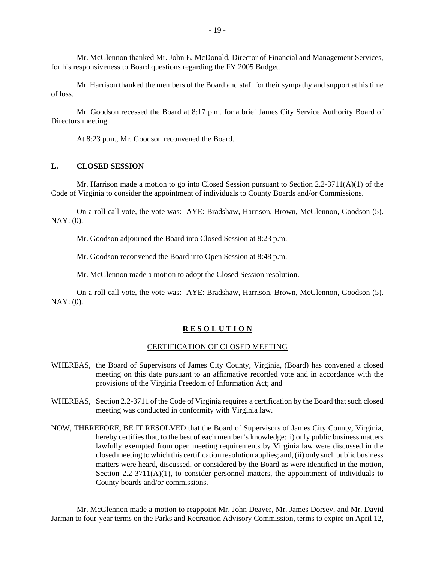Mr. McGlennon thanked Mr. John E. McDonald, Director of Financial and Management Services, for his responsiveness to Board questions regarding the FY 2005 Budget.

Mr. Harrison thanked the members of the Board and staff for their sympathy and support at his time of loss.

Mr. Goodson recessed the Board at 8:17 p.m. for a brief James City Service Authority Board of Directors meeting.

At 8:23 p.m., Mr. Goodson reconvened the Board.

#### **L. CLOSED SESSION**

Mr. Harrison made a motion to go into Closed Session pursuant to Section 2.2-3711(A)(1) of the Code of Virginia to consider the appointment of individuals to County Boards and/or Commissions.

On a roll call vote, the vote was: AYE: Bradshaw, Harrison, Brown, McGlennon, Goodson (5). NAY: (0).

Mr. Goodson adjourned the Board into Closed Session at 8:23 p.m.

Mr. Goodson reconvened the Board into Open Session at 8:48 p.m.

Mr. McGlennon made a motion to adopt the Closed Session resolution.

On a roll call vote, the vote was: AYE: Bradshaw, Harrison, Brown, McGlennon, Goodson (5). NAY: (0).

#### **R E S O L U T I O N**

#### CERTIFICATION OF CLOSED MEETING

- WHEREAS, the Board of Supervisors of James City County, Virginia, (Board) has convened a closed meeting on this date pursuant to an affirmative recorded vote and in accordance with the provisions of the Virginia Freedom of Information Act; and
- WHEREAS, Section 2.2-3711 of the Code of Virginia requires a certification by the Board that such closed meeting was conducted in conformity with Virginia law.
- NOW, THEREFORE, BE IT RESOLVED that the Board of Supervisors of James City County, Virginia, hereby certifies that, to the best of each member's knowledge: i) only public business matters lawfully exempted from open meeting requirements by Virginia law were discussed in the closed meeting to which this certification resolution applies; and, (ii) only such public business matters were heard, discussed, or considered by the Board as were identified in the motion, Section  $2.2-3711(A)(1)$ , to consider personnel matters, the appointment of individuals to County boards and/or commissions.

Mr. McGlennon made a motion to reappoint Mr. John Deaver, Mr. James Dorsey, and Mr. David Jarman to four-year terms on the Parks and Recreation Advisory Commission, terms to expire on April 12,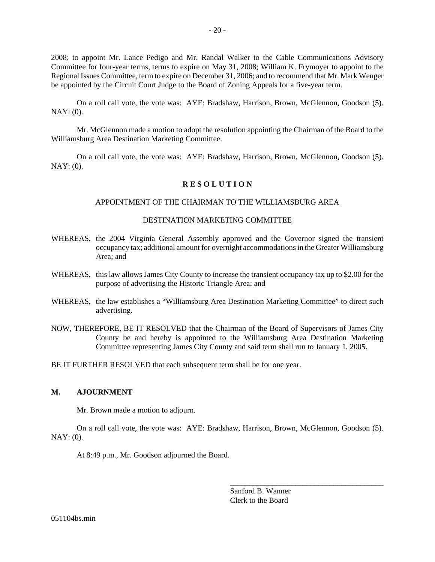2008; to appoint Mr. Lance Pedigo and Mr. Randal Walker to the Cable Communications Advisory Committee for four-year terms, terms to expire on May 31, 2008; William K. Frymoyer to appoint to the Regional Issues Committee, term to expire on December 31, 2006; and to recommend that Mr. Mark Wenger be appointed by the Circuit Court Judge to the Board of Zoning Appeals for a five-year term.

On a roll call vote, the vote was: AYE: Bradshaw, Harrison, Brown, McGlennon, Goodson (5). NAY: (0).

Mr. McGlennon made a motion to adopt the resolution appointing the Chairman of the Board to the Williamsburg Area Destination Marketing Committee.

On a roll call vote, the vote was: AYE: Bradshaw, Harrison, Brown, McGlennon, Goodson (5). NAY: (0).

## **R E S O L U T I O N**

#### APPOINTMENT OF THE CHAIRMAN TO THE WILLIAMSBURG AREA

#### DESTINATION MARKETING COMMITTEE

- WHEREAS, the 2004 Virginia General Assembly approved and the Governor signed the transient occupancy tax; additional amount for overnight accommodations in the Greater Williamsburg Area; and
- WHEREAS, this law allows James City County to increase the transient occupancy tax up to \$2.00 for the purpose of advertising the Historic Triangle Area; and
- WHEREAS, the law establishes a "Williamsburg Area Destination Marketing Committee" to direct such advertising.
- NOW, THEREFORE, BE IT RESOLVED that the Chairman of the Board of Supervisors of James City County be and hereby is appointed to the Williamsburg Area Destination Marketing Committee representing James City County and said term shall run to January 1, 2005.

BE IT FURTHER RESOLVED that each subsequent term shall be for one year.

#### **M. AJOURNMENT**

Mr. Brown made a motion to adjourn.

On a roll call vote, the vote was: AYE: Bradshaw, Harrison, Brown, McGlennon, Goodson (5). NAY: (0).

At 8:49 p.m., Mr. Goodson adjourned the Board.

Sanford B. Wanner Clerk to the Board

\_\_\_\_\_\_\_\_\_\_\_\_\_\_\_\_\_\_\_\_\_\_\_\_\_\_\_\_\_\_\_\_\_\_\_\_\_\_\_\_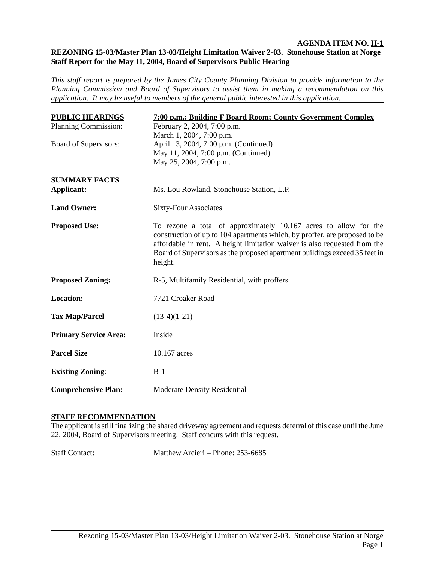#### **AGENDA ITEM NO. H-1 REZONING 15-03/Master Plan 13-03/Height Limitation Waiver 2-03. Stonehouse Station at Norge Staff Report for the May 11, 2004, Board of Supervisors Public Hearing**

*This staff report is prepared by the James City County Planning Division to provide information to the Planning Commission and Board of Supervisors to assist them in making a recommendation on this application. It may be useful to members of the general public interested in this application.* 

| <b>PUBLIC HEARINGS</b>       | 7:00 p.m.; Building F Board Room; County Government Complex                                                                                                                                                                                                                                                          |
|------------------------------|----------------------------------------------------------------------------------------------------------------------------------------------------------------------------------------------------------------------------------------------------------------------------------------------------------------------|
| Planning Commission:         | February 2, 2004, 7:00 p.m.                                                                                                                                                                                                                                                                                          |
|                              | March 1, 2004, 7:00 p.m.                                                                                                                                                                                                                                                                                             |
| Board of Supervisors:        | April 13, 2004, 7:00 p.m. (Continued)                                                                                                                                                                                                                                                                                |
|                              | May 11, 2004, 7:00 p.m. (Continued)                                                                                                                                                                                                                                                                                  |
|                              | May 25, 2004, 7:00 p.m.                                                                                                                                                                                                                                                                                              |
| <b>SUMMARY FACTS</b>         |                                                                                                                                                                                                                                                                                                                      |
| Applicant:                   | Ms. Lou Rowland, Stonehouse Station, L.P.                                                                                                                                                                                                                                                                            |
| <b>Land Owner:</b>           |                                                                                                                                                                                                                                                                                                                      |
|                              | <b>Sixty-Four Associates</b>                                                                                                                                                                                                                                                                                         |
| <b>Proposed Use:</b>         | To rezone a total of approximately 10.167 acres to allow for the<br>construction of up to 104 apartments which, by proffer, are proposed to be<br>affordable in rent. A height limitation waiver is also requested from the<br>Board of Supervisors as the proposed apartment buildings exceed 35 feet in<br>height. |
| <b>Proposed Zoning:</b>      | R-5, Multifamily Residential, with proffers                                                                                                                                                                                                                                                                          |
| <b>Location:</b>             | 7721 Croaker Road                                                                                                                                                                                                                                                                                                    |
| <b>Tax Map/Parcel</b>        | $(13-4)(1-21)$                                                                                                                                                                                                                                                                                                       |
| <b>Primary Service Area:</b> | Inside                                                                                                                                                                                                                                                                                                               |
| <b>Parcel Size</b>           | 10.167 acres                                                                                                                                                                                                                                                                                                         |
| <b>Existing Zoning:</b>      | $B-1$                                                                                                                                                                                                                                                                                                                |
| <b>Comprehensive Plan:</b>   | <b>Moderate Density Residential</b>                                                                                                                                                                                                                                                                                  |

## **STAFF RECOMMENDATION**

The applicant is still finalizing the shared driveway agreement and requests deferral of this case until the June 22, 2004, Board of Supervisors meeting. Staff concurs with this request.

Staff Contact: Matthew Arcieri – Phone: 253-6685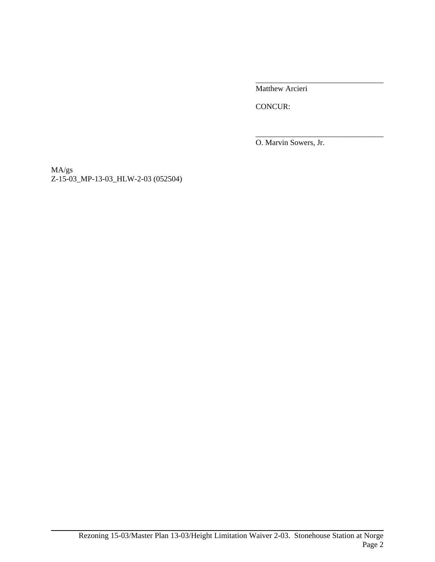\_\_\_\_\_\_\_\_\_\_\_\_\_\_\_\_\_\_\_\_\_\_\_\_\_\_\_\_\_\_\_\_\_ Matthew Arcieri

CONCUR:

O. Marvin Sowers, Jr.

\_\_\_\_\_\_\_\_\_\_\_\_\_\_\_\_\_\_\_\_\_\_\_\_\_\_\_\_\_\_\_\_\_

MA/gs Z-15-03\_MP-13-03\_HLW-2-03 (052504)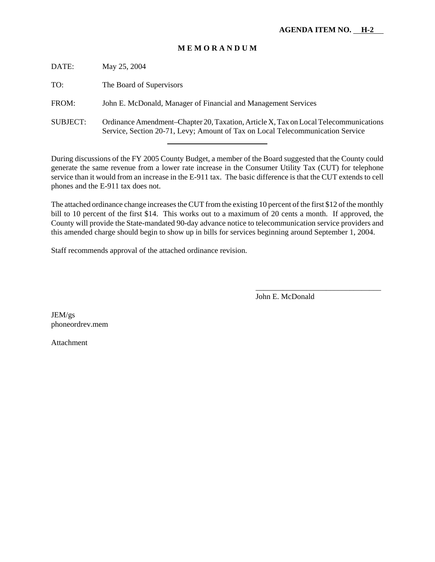# **M E M O R A N D U M**

| DATE:           | May 25, 2004                                                                                                                                                           |
|-----------------|------------------------------------------------------------------------------------------------------------------------------------------------------------------------|
| TO:             | The Board of Supervisors                                                                                                                                               |
| FROM:           | John E. McDonald, Manager of Financial and Management Services                                                                                                         |
| <b>SUBJECT:</b> | Ordinance Amendment–Chapter 20, Taxation, Article X, Tax on Local Telecommunications<br>Service, Section 20-71, Levy; Amount of Tax on Local Telecommunication Service |

During discussions of the FY 2005 County Budget, a member of the Board suggested that the County could generate the same revenue from a lower rate increase in the Consumer Utility Tax (CUT) for telephone service than it would from an increase in the E-911 tax. The basic difference is that the CUT extends to cell phones and the E-911 tax does not.

The attached ordinance change increases the CUT from the existing 10 percent of the first \$12 of the monthly bill to 10 percent of the first \$14. This works out to a maximum of 20 cents a month. If approved, the County will provide the State-mandated 90-day advance notice to telecommunication service providers and this amended charge should begin to show up in bills for services beginning around September 1, 2004.

Staff recommends approval of the attached ordinance revision.

John E. McDonald

\_\_\_\_\_\_\_\_\_\_\_\_\_\_\_\_\_\_\_\_\_\_\_\_\_\_\_\_\_\_\_\_

JEM/gs phoneordrev.mem

Attachment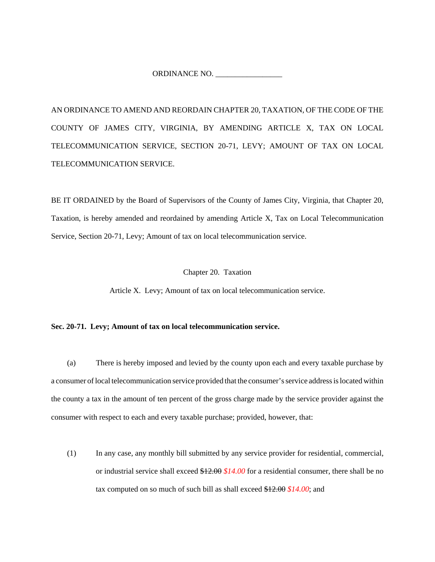ORDINANCE NO. \_\_\_\_\_\_\_\_\_\_\_\_\_\_\_\_\_

AN ORDINANCE TO AMEND AND REORDAIN CHAPTER 20, TAXATION, OF THE CODE OF THE COUNTY OF JAMES CITY, VIRGINIA, BY AMENDING ARTICLE X, TAX ON LOCAL TELECOMMUNICATION SERVICE, SECTION 20-71, LEVY; AMOUNT OF TAX ON LOCAL TELECOMMUNICATION SERVICE.

BE IT ORDAINED by the Board of Supervisors of the County of James City, Virginia, that Chapter 20, Taxation, is hereby amended and reordained by amending Article X, Tax on Local Telecommunication Service, Section 20-71, Levy; Amount of tax on local telecommunication service.

#### Chapter 20. Taxation

Article X. Levy; Amount of tax on local telecommunication service.

#### **Sec. 20-71. Levy; Amount of tax on local telecommunication service.**

(a) There is hereby imposed and levied by the county upon each and every taxable purchase by a consumer of local telecommunication service provided that the consumer's service address is located within the county a tax in the amount of ten percent of the gross charge made by the service provider against the consumer with respect to each and every taxable purchase; provided, however, that:

(1) In any case, any monthly bill submitted by any service provider for residential, commercial, or industrial service shall exceed \$12.00 *\$14.00* for a residential consumer, there shall be no tax computed on so much of such bill as shall exceed \$12.00 *\$14.00*; and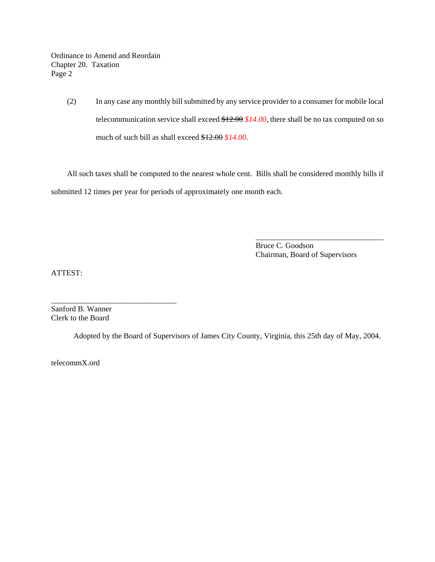Ordinance to Amend and Reordain Chapter 20. Taxation Page 2

> (2) In any case any monthly bill submitted by any service provider to a consumer for mobile local telecommunication service shall exceed \$12.00 *\$14.00*, there shall be no tax computed on so much of such bill as shall exceed \$12.00 *\$14.00*.

All such taxes shall be computed to the nearest whole cent. Bills shall be considered monthly bills if submitted 12 times per year for periods of approximately one month each.

> Bruce C. Goodson Chairman, Board of Supervisors

\_\_\_\_\_\_\_\_\_\_\_\_\_\_\_\_\_\_\_\_\_\_\_\_\_\_\_\_\_\_\_\_\_

ATTEST:

Sanford B. Wanner Clerk to the Board

\_\_\_\_\_\_\_\_\_\_\_\_\_\_\_\_\_\_\_\_\_\_\_\_\_\_\_\_\_\_\_\_

Adopted by the Board of Supervisors of James City County, Virginia, this 25th day of May, 2004.

telecommX.ord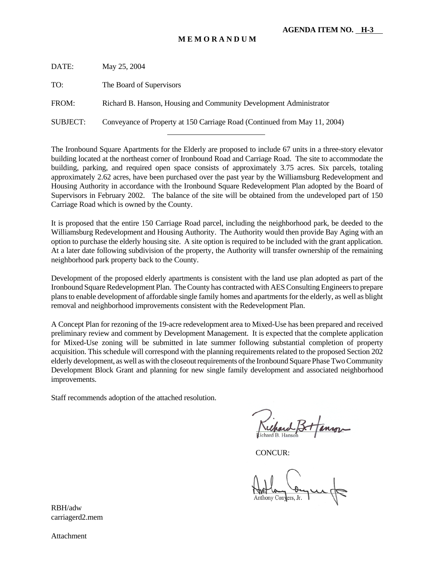# **M E M O R A N D U M**

| DATE:           | May 25, 2004                                                              |
|-----------------|---------------------------------------------------------------------------|
| TO:             | The Board of Supervisors                                                  |
| FROM:           | Richard B. Hanson, Housing and Community Development Administrator        |
| <b>SUBJECT:</b> | Conveyance of Property at 150 Carriage Road (Continued from May 11, 2004) |
|                 |                                                                           |

The Ironbound Square Apartments for the Elderly are proposed to include 67 units in a three-story elevator building located at the northeast corner of Ironbound Road and Carriage Road. The site to accommodate the building, parking, and required open space consists of approximately 3.75 acres. Six parcels, totaling approximately 2.62 acres, have been purchased over the past year by the Williamsburg Redevelopment and Housing Authority in accordance with the Ironbound Square Redevelopment Plan adopted by the Board of Supervisors in February 2002. The balance of the site will be obtained from the undeveloped part of 150 Carriage Road which is owned by the County.

It is proposed that the entire 150 Carriage Road parcel, including the neighborhood park, be deeded to the Williamsburg Redevelopment and Housing Authority. The Authority would then provide Bay Aging with an option to purchase the elderly housing site. A site option is required to be included with the grant application. At a later date following subdivision of the property, the Authority will transfer ownership of the remaining neighborhood park property back to the County.

Development of the proposed elderly apartments is consistent with the land use plan adopted as part of the Ironbound Square Redevelopment Plan. The County has contracted with AES Consulting Engineers to prepare plans to enable development of affordable single family homes and apartments for the elderly, as well as blight removal and neighborhood improvements consistent with the Redevelopment Plan.

A Concept Plan for rezoning of the 19-acre redevelopment area to Mixed-Use has been prepared and received preliminary review and comment by Development Management. It is expected that the complete application for Mixed-Use zoning will be submitted in late summer following substantial completion of property acquisition. This schedule will correspond with the planning requirements related to the proposed Section 202 elderly development, as well as with the closeout requirements of the Ironbound Square Phase Two Community Development Block Grant and planning for new single family development and associated neighborhood improvements.

Staff recommends adoption of the attached resolution.

CONCUR:

Anthony Convers, Jr.

RBH/adw carriagerd2.mem

Attachment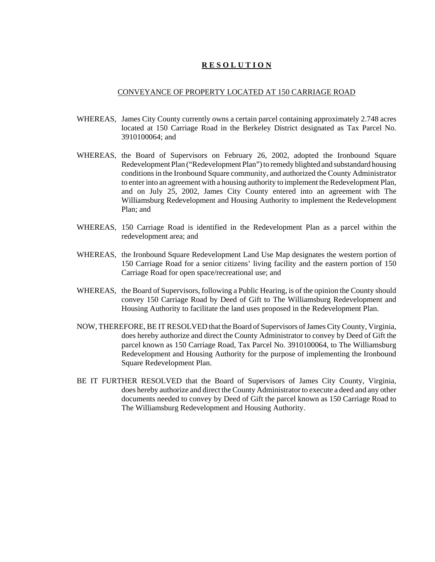## **R E S O L U T I O N**

#### CONVEYANCE OF PROPERTY LOCATED AT 150 CARRIAGE ROAD

- WHEREAS, James City County currently owns a certain parcel containing approximately 2.748 acres located at 150 Carriage Road in the Berkeley District designated as Tax Parcel No. 3910100064; and
- WHEREAS, the Board of Supervisors on February 26, 2002, adopted the Ironbound Square Redevelopment Plan ("Redevelopment Plan") to remedy blighted and substandard housing conditions in the Ironbound Square community, and authorized the County Administrator to enter into an agreement with a housing authority to implement the Redevelopment Plan, and on July 25, 2002, James City County entered into an agreement with The Williamsburg Redevelopment and Housing Authority to implement the Redevelopment Plan; and
- WHEREAS, 150 Carriage Road is identified in the Redevelopment Plan as a parcel within the redevelopment area; and
- WHEREAS, the Ironbound Square Redevelopment Land Use Map designates the western portion of 150 Carriage Road for a senior citizens' living facility and the eastern portion of 150 Carriage Road for open space/recreational use; and
- WHEREAS, the Board of Supervisors, following a Public Hearing, is of the opinion the County should convey 150 Carriage Road by Deed of Gift to The Williamsburg Redevelopment and Housing Authority to facilitate the land uses proposed in the Redevelopment Plan.
- NOW, THEREFORE, BE IT RESOLVED that the Board of Supervisors of James City County, Virginia, does hereby authorize and direct the County Administrator to convey by Deed of Gift the parcel known as 150 Carriage Road, Tax Parcel No. 3910100064, to The Williamsburg Redevelopment and Housing Authority for the purpose of implementing the Ironbound Square Redevelopment Plan.
- BE IT FURTHER RESOLVED that the Board of Supervisors of James City County, Virginia, does hereby authorize and direct the County Administrator to execute a deed and any other documents needed to convey by Deed of Gift the parcel known as 150 Carriage Road to The Williamsburg Redevelopment and Housing Authority.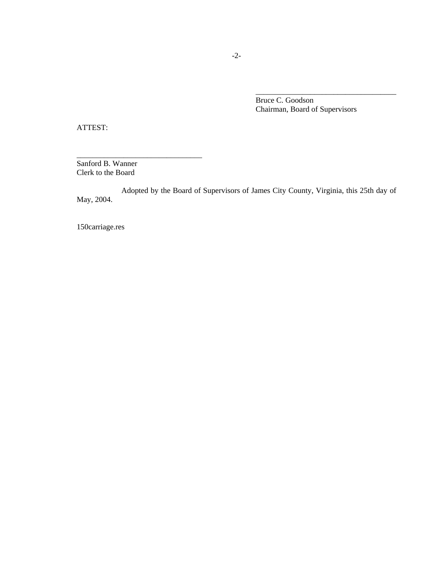Bruce C. Goodson Chairman, Board of Supervisors

\_\_\_\_\_\_\_\_\_\_\_\_\_\_\_\_\_\_\_\_\_\_\_\_\_\_\_\_\_\_\_\_\_\_\_\_

ATTEST:

Sanford B. Wanner Clerk to the Board

\_\_\_\_\_\_\_\_\_\_\_\_\_\_\_\_\_\_\_\_\_\_\_\_\_\_\_\_\_\_\_\_

Adopted by the Board of Supervisors of James City County, Virginia, this 25th day of May, 2004.

150carriage.res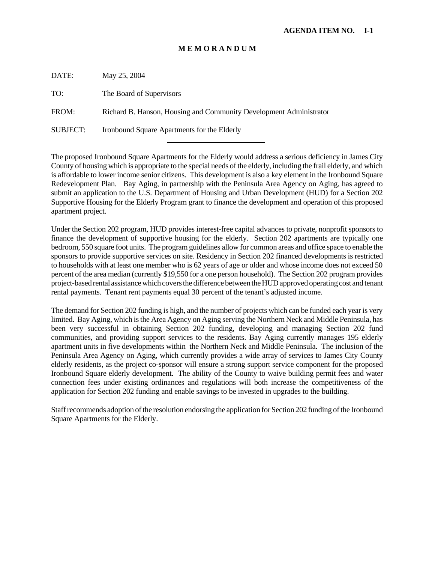## **M E M O R A N D U M**

| DATE:    | May 25, 2004                                                       |
|----------|--------------------------------------------------------------------|
| TO:      | The Board of Supervisors                                           |
| FROM:    | Richard B. Hanson, Housing and Community Development Administrator |
| SUBJECT: | Ironbound Square Apartments for the Elderly                        |

l

The proposed Ironbound Square Apartments for the Elderly would address a serious deficiency in James City County of housing which is appropriate to the special needs of the elderly, including the frail elderly, and which is affordable to lower income senior citizens. This development is also a key element in the Ironbound Square Redevelopment Plan. Bay Aging, in partnership with the Peninsula Area Agency on Aging, has agreed to submit an application to the U.S. Department of Housing and Urban Development (HUD) for a Section 202 Supportive Housing for the Elderly Program grant to finance the development and operation of this proposed apartment project.

Under the Section 202 program, HUD provides interest-free capital advances to private, nonprofit sponsors to finance the development of supportive housing for the elderly. Section 202 apartments are typically one bedroom, 550 square foot units. The program guidelines allow for common areas and office space to enable the sponsors to provide supportive services on site. Residency in Section 202 financed developments is restricted to households with at least one member who is 62 years of age or older and whose income does not exceed 50 percent of the area median (currently \$19,550 for a one person household). The Section 202 program provides project-based rental assistance which covers the difference between the HUD approved operating cost and tenant rental payments. Tenant rent payments equal 30 percent of the tenant's adjusted income.

The demand for Section 202 funding is high, and the number of projects which can be funded each year is very limited. Bay Aging, which is the Area Agency on Aging serving the Northern Neck and Middle Peninsula, has been very successful in obtaining Section 202 funding, developing and managing Section 202 fund communities, and providing support services to the residents. Bay Aging currently manages 195 elderly apartment units in five developments within the Northern Neck and Middle Peninsula. The inclusion of the Peninsula Area Agency on Aging, which currently provides a wide array of services to James City County elderly residents, as the project co-sponsor will ensure a strong support service component for the proposed Ironbound Square elderly development. The ability of the County to waive building permit fees and water connection fees under existing ordinances and regulations will both increase the competitiveness of the application for Section 202 funding and enable savings to be invested in upgrades to the building.

Staff recommends adoption of the resolution endorsing the application for Section 202 funding of the Ironbound Square Apartments for the Elderly.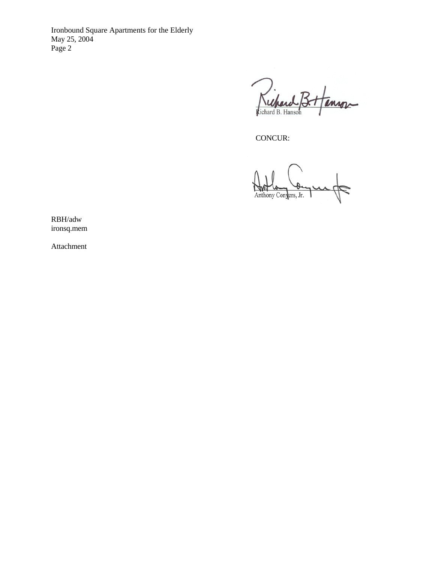Ironbound Square Apartments for the Elderly May 25, 2004 Page 2

Richard B. inson

CONCUR:

Anthony Congers, Jr.

RBH/adw ironsq.mem

Attachment